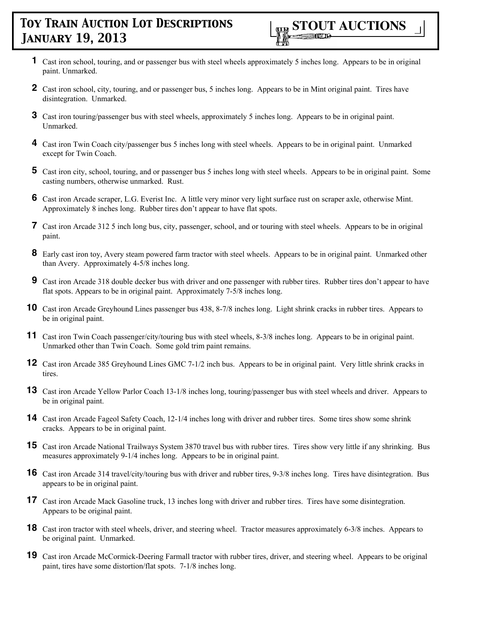- **1** Cast iron school, touring, and or passenger bus with steel wheels approximately 5 inches long. Appears to be in original paint. Unmarked.
- **2** Cast iron school, city, touring, and or passenger bus, 5 inches long. Appears to be in Mint original paint. Tires have disintegration. Unmarked.
- **3** Cast iron touring/passenger bus with steel wheels, approximately 5 inches long. Appears to be in original paint. Unmarked.
- **4** Cast iron Twin Coach city/passenger bus 5 inches long with steel wheels. Appears to be in original paint. Unmarked except for Twin Coach.
- **5** Cast iron city, school, touring, and or passenger bus 5 inches long with steel wheels. Appears to be in original paint. Some casting numbers, otherwise unmarked. Rust.
- **6** Cast iron Arcade scraper, L.G. Everist Inc. A little very minor very light surface rust on scraper axle, otherwise Mint. Approximately 8 inches long. Rubber tires don't appear to have flat spots.
- **7** Cast iron Arcade 312 5 inch long bus, city, passenger, school, and or touring with steel wheels. Appears to be in original paint.
- **8** Early cast iron toy, Avery steam powered farm tractor with steel wheels. Appears to be in original paint. Unmarked other than Avery. Approximately 4-5/8 inches long.
- **9** Cast iron Arcade 318 double decker bus with driver and one passenger with rubber tires. Rubber tires don't appear to have flat spots. Appears to be in original paint. Approximately 7-5/8 inches long.
- **10** Cast iron Arcade Greyhound Lines passenger bus 438, 8-7/8 inches long. Light shrink cracks in rubber tires. Appears to be in original paint.
- **11** Cast iron Twin Coach passenger/city/touring bus with steel wheels, 8-3/8 inches long. Appears to be in original paint. Unmarked other than Twin Coach. Some gold trim paint remains.
- **12** Cast iron Arcade 385 Greyhound Lines GMC 7-1/2 inch bus. Appears to be in original paint. Very little shrink cracks in tires.
- **13** Cast iron Arcade Yellow Parlor Coach 13-1/8 inches long, touring/passenger bus with steel wheels and driver. Appears to be in original paint.
- **14** Cast iron Arcade Fageol Safety Coach, 12-1/4 inches long with driver and rubber tires. Some tires show some shrink cracks. Appears to be in original paint.
- **15** Cast iron Arcade National Trailways System 3870 travel bus with rubber tires. Tires show very little if any shrinking. Bus measures approximately 9-1/4 inches long. Appears to be in original paint.
- **16** Cast iron Arcade 314 travel/city/touring bus with driver and rubber tires, 9-3/8 inches long. Tires have disintegration. Bus appears to be in original paint.
- **17** Cast iron Arcade Mack Gasoline truck, 13 inches long with driver and rubber tires. Tires have some disintegration. Appears to be original paint.
- **18** Cast iron tractor with steel wheels, driver, and steering wheel. Tractor measures approximately 6-3/8 inches. Appears to be original paint. Unmarked.
- **19** Cast iron Arcade McCormick-Deering Farmall tractor with rubber tires, driver, and steering wheel. Appears to be original paint, tires have some distortion/flat spots. 7-1/8 inches long.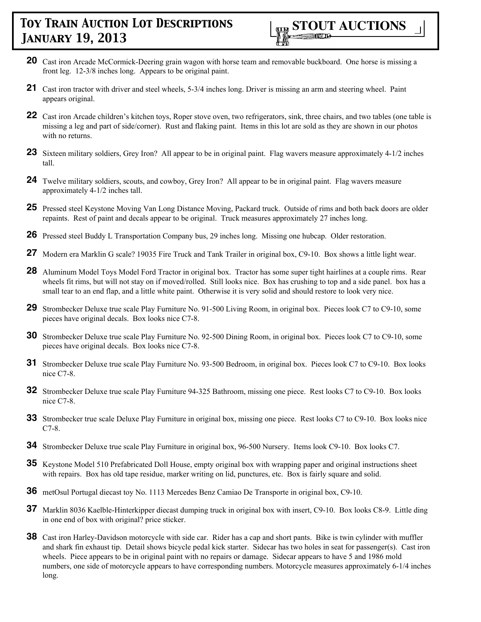- **20** Cast iron Arcade McCormick-Deering grain wagon with horse team and removable buckboard. One horse is missing a front leg. 12-3/8 inches long. Appears to be original paint.
- **21** Cast iron tractor with driver and steel wheels, 5-3/4 inches long. Driver is missing an arm and steering wheel. Paint appears original.
- 22 Cast iron Arcade children's kitchen toys, Roper stove oven, two refrigerators, sink, three chairs, and two tables (one table is missing a leg and part of side/corner). Rust and flaking paint. Items in this lot are sold as they are shown in our photos with no returns.
- **23** Sixteen military soldiers, Grey Iron? All appear to be in original paint. Flag wavers measure approximately 4-1/2 inches tall.
- **24** Twelve military soldiers, scouts, and cowboy, Grey Iron? All appear to be in original paint. Flag wavers measure approximately 4-1/2 inches tall.
- **25** Pressed steel Keystone Moving Van Long Distance Moving, Packard truck. Outside of rims and both back doors are older repaints. Rest of paint and decals appear to be original. Truck measures approximately 27 inches long.
- **26** Pressed steel Buddy L Transportation Company bus, 29 inches long. Missing one hubcap. Older restoration.
- **27** Modern era Marklin G scale? 19035 Fire Truck and Tank Trailer in original box, C9-10. Box shows a little light wear.
- **28** Aluminum Model Toys Model Ford Tractor in original box. Tractor has some super tight hairlines at a couple rims. Rear wheels fit rims, but will not stay on if moved/rolled. Still looks nice. Box has crushing to top and a side panel. box has a small tear to an end flap, and a little white paint. Otherwise it is very solid and should restore to look very nice.
- **29** Strombecker Deluxe true scale Play Furniture No. 91-500 Living Room, in original box. Pieces look C7 to C9-10, some pieces have original decals. Box looks nice C7-8.
- **30** Strombecker Deluxe true scale Play Furniture No. 92-500 Dining Room, in original box. Pieces look C7 to C9-10, some pieces have original decals. Box looks nice C7-8.
- **31** Strombecker Deluxe true scale Play Furniture No. 93-500 Bedroom, in original box. Pieces look C7 to C9-10. Box looks nice C7-8.
- **32** Strombecker Deluxe true scale Play Furniture 94-325 Bathroom, missing one piece. Rest looks C7 to C9-10. Box looks nice C7-8.
- **33** Strombecker true scale Deluxe Play Furniture in original box, missing one piece. Rest looks C7 to C9-10. Box looks nice C7-8.
- **34** Strombecker Deluxe true scale Play Furniture in original box, 96-500 Nursery. Items look C9-10. Box looks C7.
- **35** Keystone Model 510 Prefabricated Doll House, empty original box with wrapping paper and original instructions sheet with repairs. Box has old tape residue, marker writing on lid, punctures, etc. Box is fairly square and solid.
- **36** metOsul Portugal diecast toy No. 1113 Mercedes Benz Camiao De Transporte in original box, C9-10.
- **37** Marklin 8036 Kaelble-Hinterkipper diecast dumping truck in original box with insert, C9-10. Box looks C8-9. Little ding in one end of box with original? price sticker.
- **38** Cast iron Harley-Davidson motorcycle with side car. Rider has a cap and short pants. Bike is twin cylinder with muffler and shark fin exhaust tip. Detail shows bicycle pedal kick starter. Sidecar has two holes in seat for passenger(s). Cast iron wheels. Piece appears to be in original paint with no repairs or damage. Sidecar appears to have 5 and 1986 mold numbers, one side of motorcycle appears to have corresponding numbers. Motorcycle measures approximately 6-1/4 inches long.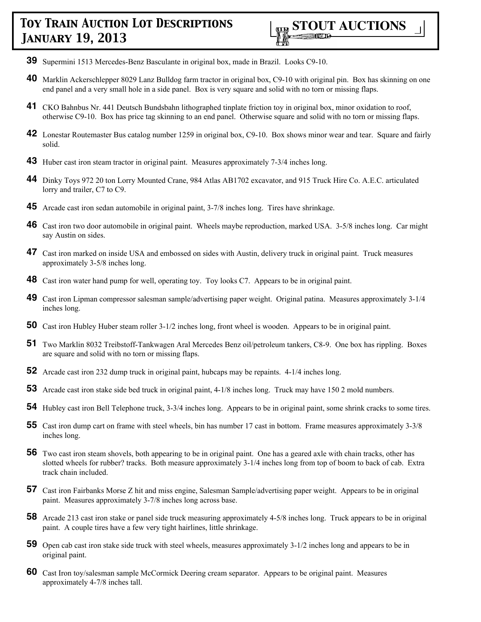- **39** Supermini 1513 Mercedes-Benz Basculante in original box, made in Brazil. Looks C9-10.
- **40** Marklin Ackerschlepper 8029 Lanz Bulldog farm tractor in original box, C9-10 with original pin. Box has skinning on one end panel and a very small hole in a side panel. Box is very square and solid with no torn or missing flaps.
- **41** CKO Bahnbus Nr. 441 Deutsch Bundsbahn lithographed tinplate friction toy in original box, minor oxidation to roof, otherwise C9-10. Box has price tag skinning to an end panel. Otherwise square and solid with no torn or missing flaps.
- **42** Lonestar Routemaster Bus catalog number 1259 in original box, C9-10. Box shows minor wear and tear. Square and fairly solid.
- **43** Huber cast iron steam tractor in original paint. Measures approximately 7-3/4 inches long.
- **44** Dinky Toys 972 20 ton Lorry Mounted Crane, 984 Atlas AB1702 excavator, and 915 Truck Hire Co. A.E.C. articulated lorry and trailer, C7 to C9.
- **45** Arcade cast iron sedan automobile in original paint, 3-7/8 inches long. Tires have shrinkage.
- **46** Cast iron two door automobile in original paint. Wheels maybe reproduction, marked USA. 3-5/8 inches long. Car might say Austin on sides.
- **47** Cast iron marked on inside USA and embossed on sides with Austin, delivery truck in original paint. Truck measures approximately 3-5/8 inches long.
- **48** Cast iron water hand pump for well, operating toy. Toy looks C7. Appears to be in original paint.
- **49** Cast iron Lipman compressor salesman sample/advertising paper weight. Original patina. Measures approximately 3-1/4 inches long.
- **50** Cast iron Hubley Huber steam roller 3-1/2 inches long, front wheel is wooden. Appears to be in original paint.
- **51** Two Marklin 8032 Treibstoff-Tankwagen Aral Mercedes Benz oil/petroleum tankers, C8-9. One box has rippling. Boxes are square and solid with no torn or missing flaps.
- **52** Arcade cast iron 232 dump truck in original paint, hubcaps may be repaints. 4-1/4 inches long.
- **53** Arcade cast iron stake side bed truck in original paint, 4-1/8 inches long. Truck may have 150 2 mold numbers.
- **54** Hubley cast iron Bell Telephone truck, 3-3/4 inches long. Appears to be in original paint, some shrink cracks to some tires.
- **55** Cast iron dump cart on frame with steel wheels, bin has number 17 cast in bottom. Frame measures approximately 3-3/8 inches long.
- **56** Two cast iron steam shovels, both appearing to be in original paint. One has a geared axle with chain tracks, other has slotted wheels for rubber? tracks. Both measure approximately 3-1/4 inches long from top of boom to back of cab. Extra track chain included.
- **57** Cast iron Fairbanks Morse Z hit and miss engine, Salesman Sample/advertising paper weight. Appears to be in original paint. Measures approximately 3-7/8 inches long across base.
- **58** Arcade 213 cast iron stake or panel side truck measuring approximately 4-5/8 inches long. Truck appears to be in original paint. A couple tires have a few very tight hairlines, little shrinkage.
- **59** Open cab cast iron stake side truck with steel wheels, measures approximately 3-1/2 inches long and appears to be in original paint.
- **60** Cast Iron toy/salesman sample McCormick Deering cream separator. Appears to be original paint. Measures approximately 4-7/8 inches tall.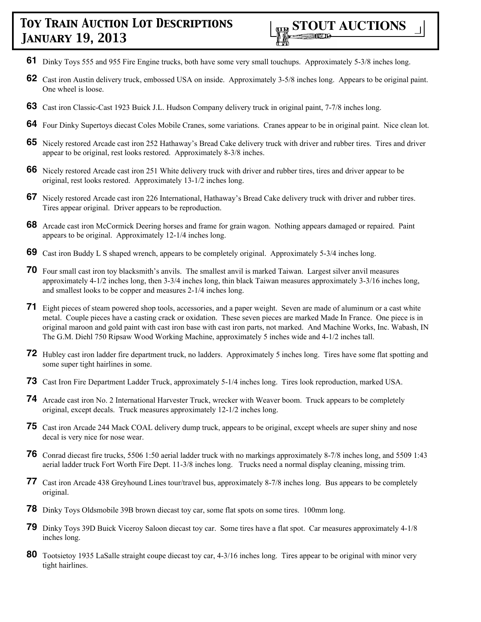- **61** Dinky Toys 555 and 955 Fire Engine trucks, both have some very small touchups. Approximately 5-3/8 inches long.
- **62** Cast iron Austin delivery truck, embossed USA on inside. Approximately 3-5/8 inches long. Appears to be original paint. One wheel is loose.
- **63** Cast iron Classic-Cast 1923 Buick J.L. Hudson Company delivery truck in original paint, 7-7/8 inches long.
- **64** Four Dinky Supertoys diecast Coles Mobile Cranes, some variations. Cranes appear to be in original paint. Nice clean lot.
- **65** Nicely restored Arcade cast iron 252 Hathaway's Bread Cake delivery truck with driver and rubber tires. Tires and driver appear to be original, rest looks restored. Approximately 8-3/8 inches.
- **66** Nicely restored Arcade cast iron 251 White delivery truck with driver and rubber tires, tires and driver appear to be original, rest looks restored. Approximately 13-1/2 inches long.
- **67** Nicely restored Arcade cast iron 226 International, Hathaway's Bread Cake delivery truck with driver and rubber tires. Tires appear original. Driver appears to be reproduction.
- **68** Arcade cast iron McCormick Deering horses and frame for grain wagon. Nothing appears damaged or repaired. Paint appears to be original. Approximately 12-1/4 inches long.
- **69** Cast iron Buddy L S shaped wrench, appears to be completely original. Approximately 5-3/4 inches long.
- **70** Four small cast iron toy blacksmith's anvils. The smallest anvil is marked Taiwan. Largest silver anvil measures approximately 4-1/2 inches long, then 3-3/4 inches long, thin black Taiwan measures approximately 3-3/16 inches long, and smallest looks to be copper and measures 2-1/4 inches long.
- **71** Eight pieces of steam powered shop tools, accessories, and a paper weight. Seven are made of aluminum or a cast white metal. Couple pieces have a casting crack or oxidation. These seven pieces are marked Made In France. One piece is in original maroon and gold paint with cast iron base with cast iron parts, not marked. And Machine Works, Inc. Wabash, IN The G.M. Diehl 750 Ripsaw Wood Working Machine, approximately 5 inches wide and 4-1/2 inches tall.
- **72** Hubley cast iron ladder fire department truck, no ladders. Approximately 5 inches long. Tires have some flat spotting and some super tight hairlines in some.
- **73** Cast Iron Fire Department Ladder Truck, approximately 5-1/4 inches long. Tires look reproduction, marked USA.
- **74** Arcade cast iron No. 2 International Harvester Truck, wrecker with Weaver boom. Truck appears to be completely original, except decals. Truck measures approximately 12-1/2 inches long.
- **75** Cast iron Arcade 244 Mack COAL delivery dump truck, appears to be original, except wheels are super shiny and nose decal is very nice for nose wear.
- **76** Conrad diecast fire trucks, 5506 1:50 aerial ladder truck with no markings approximately 8-7/8 inches long, and 5509 1:43 aerial ladder truck Fort Worth Fire Dept. 11-3/8 inches long. Trucks need a normal display cleaning, missing trim.
- **77** Cast iron Arcade 438 Greyhound Lines tour/travel bus, approximately 8-7/8 inches long. Bus appears to be completely original.
- **78** Dinky Toys Oldsmobile 39B brown diecast toy car, some flat spots on some tires. 100mm long.
- **79** Dinky Toys 39D Buick Viceroy Saloon diecast toy car. Some tires have a flat spot. Car measures approximately 4-1/8 inches long.
- **80** Tootsietoy 1935 LaSalle straight coupe diecast toy car, 4-3/16 inches long. Tires appear to be original with minor very tight hairlines.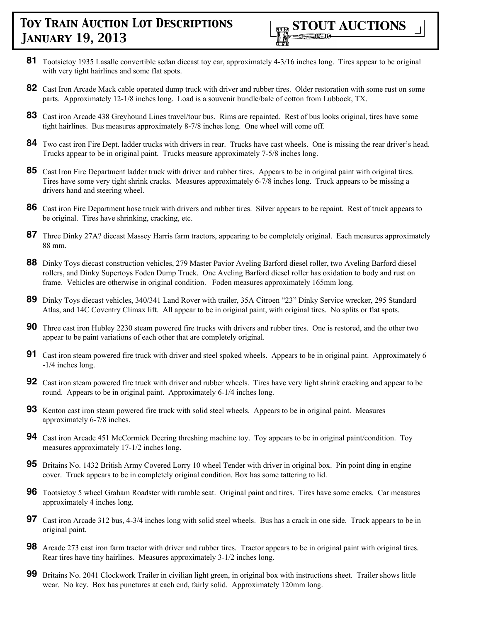

- **81** Tootsietoy 1935 Lasalle convertible sedan diecast toy car, approximately 4-3/16 inches long. Tires appear to be original with very tight hairlines and some flat spots.
- **82** Cast Iron Arcade Mack cable operated dump truck with driver and rubber tires. Older restoration with some rust on some parts. Approximately 12-1/8 inches long. Load is a souvenir bundle/bale of cotton from Lubbock, TX.
- **83** Cast iron Arcade 438 Greyhound Lines travel/tour bus. Rims are repainted. Rest of bus looks original, tires have some tight hairlines. Bus measures approximately 8-7/8 inches long. One wheel will come off.
- **84** Two cast iron Fire Dept. ladder trucks with drivers in rear. Trucks have cast wheels. One is missing the rear driver's head. Trucks appear to be in original paint. Trucks measure approximately 7-5/8 inches long.
- **85** Cast Iron Fire Department ladder truck with driver and rubber tires. Appears to be in original paint with original tires. Tires have some very tight shrink cracks. Measures approximately 6-7/8 inches long. Truck appears to be missing a drivers hand and steering wheel.
- **86** Cast iron Fire Department hose truck with drivers and rubber tires. Silver appears to be repaint. Rest of truck appears to be original. Tires have shrinking, cracking, etc.
- 87 Three Dinky 27A? diecast Massey Harris farm tractors, appearing to be completely original. Each measures approximately 88 mm.
- **88** Dinky Toys diecast construction vehicles, 279 Master Pavior Aveling Barford diesel roller, two Aveling Barford diesel rollers, and Dinky Supertoys Foden Dump Truck. One Aveling Barford diesel roller has oxidation to body and rust on frame. Vehicles are otherwise in original condition. Foden measures approximately 165mm long.
- **89** Dinky Toys diecast vehicles, 340/341 Land Rover with trailer, 35A Citroen "23" Dinky Service wrecker, 295 Standard Atlas, and 14C Coventry Climax lift. All appear to be in original paint, with original tires. No splits or flat spots.
- **90** Three cast iron Hubley 2230 steam powered fire trucks with drivers and rubber tires. One is restored, and the other two appear to be paint variations of each other that are completely original.
- **91** Cast iron steam powered fire truck with driver and steel spoked wheels. Appears to be in original paint. Approximately 6 -1/4 inches long.
- **92** Cast iron steam powered fire truck with driver and rubber wheels. Tires have very light shrink cracking and appear to be round. Appears to be in original paint. Approximately 6-1/4 inches long.
- **93** Kenton cast iron steam powered fire truck with solid steel wheels. Appears to be in original paint. Measures approximately 6-7/8 inches.
- **94** Cast iron Arcade 451 McCormick Deering threshing machine toy. Toy appears to be in original paint/condition. Toy measures approximately 17-1/2 inches long.
- **95** Britains No. 1432 British Army Covered Lorry 10 wheel Tender with driver in original box. Pin point ding in engine cover. Truck appears to be in completely original condition. Box has some tattering to lid.
- **96** Tootsietoy 5 wheel Graham Roadster with rumble seat. Original paint and tires. Tires have some cracks. Car measures approximately 4 inches long.
- **97** Cast iron Arcade 312 bus, 4-3/4 inches long with solid steel wheels. Bus has a crack in one side. Truck appears to be in original paint.
- **98** Arcade 273 cast iron farm tractor with driver and rubber tires. Tractor appears to be in original paint with original tires. Rear tires have tiny hairlines. Measures approximately 3-1/2 inches long.
- **99** Britains No. 2041 Clockwork Trailer in civilian light green, in original box with instructions sheet. Trailer shows little wear. No key. Box has punctures at each end, fairly solid. Approximately 120mm long.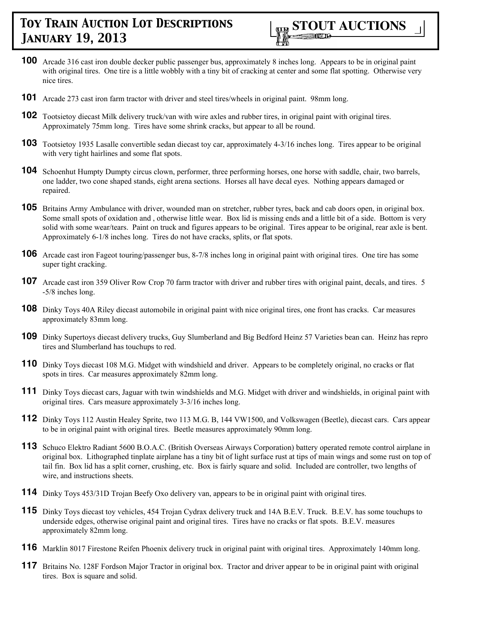

- **100** Arcade 316 cast iron double decker public passenger bus, approximately 8 inches long. Appears to be in original paint with original tires. One tire is a little wobbly with a tiny bit of cracking at center and some flat spotting. Otherwise very nice tires.
- **101** Arcade 273 cast iron farm tractor with driver and steel tires/wheels in original paint. 98mm long.
- **102** Tootsietoy diecast Milk delivery truck/van with wire axles and rubber tires, in original paint with original tires. Approximately 75mm long. Tires have some shrink cracks, but appear to all be round.
- **103** Tootsietoy 1935 Lasalle convertible sedan diecast toy car, approximately 4-3/16 inches long. Tires appear to be original with very tight hairlines and some flat spots.
- **104** Schoenhut Humpty Dumpty circus clown, performer, three performing horses, one horse with saddle, chair, two barrels, one ladder, two cone shaped stands, eight arena sections. Horses all have decal eyes. Nothing appears damaged or repaired.
- **105** Britains Army Ambulance with driver, wounded man on stretcher, rubber tyres, back and cab doors open, in original box. Some small spots of oxidation and , otherwise little wear. Box lid is missing ends and a little bit of a side. Bottom is very solid with some wear/tears. Paint on truck and figures appears to be original. Tires appear to be original, rear axle is bent. Approximately 6-1/8 inches long. Tires do not have cracks, splits, or flat spots.
- **106** Arcade cast iron Fageot touring/passenger bus, 8-7/8 inches long in original paint with original tires. One tire has some super tight cracking.
- **107** Arcade cast iron 359 Oliver Row Crop 70 farm tractor with driver and rubber tires with original paint, decals, and tires. 5 -5/8 inches long.
- **108** Dinky Toys 40A Riley diecast automobile in original paint with nice original tires, one front has cracks. Car measures approximately 83mm long.
- **109** Dinky Supertoys diecast delivery trucks, Guy Slumberland and Big Bedford Heinz 57 Varieties bean can. Heinz has repro tires and Slumberland has touchups to red.
- **110** Dinky Toys diecast 108 M.G. Midget with windshield and driver. Appears to be completely original, no cracks or flat spots in tires. Car measures approximately 82mm long.
- **111** Dinky Toys diecast cars, Jaguar with twin windshields and M.G. Midget with driver and windshields, in original paint with original tires. Cars measure approximately 3-3/16 inches long.
- **112** Dinky Toys 112 Austin Healey Sprite, two 113 M.G. B, 144 VW1500, and Volkswagen (Beetle), diecast cars. Cars appear to be in original paint with original tires. Beetle measures approximately 90mm long.
- **113** Schuco Elektro Radiant 5600 B.O.A.C. (British Overseas Airways Corporation) battery operated remote control airplane in original box. Lithographed tinplate airplane has a tiny bit of light surface rust at tips of main wings and some rust on top of tail fin. Box lid has a split corner, crushing, etc. Box is fairly square and solid. Included are controller, two lengths of wire, and instructions sheets.
- **114** Dinky Toys 453/31D Trojan Beefy Oxo delivery van, appears to be in original paint with original tires.
- **115** Dinky Toys diecast toy vehicles, 454 Trojan Cydrax delivery truck and 14A B.E.V. Truck. B.E.V. has some touchups to underside edges, otherwise original paint and original tires. Tires have no cracks or flat spots. B.E.V. measures approximately 82mm long.
- **116** Marklin 8017 Firestone Reifen Phoenix delivery truck in original paint with original tires. Approximately 140mm long.
- 117 Britains No. 128F Fordson Major Tractor in original box. Tractor and driver appear to be in original paint with original tires. Box is square and solid.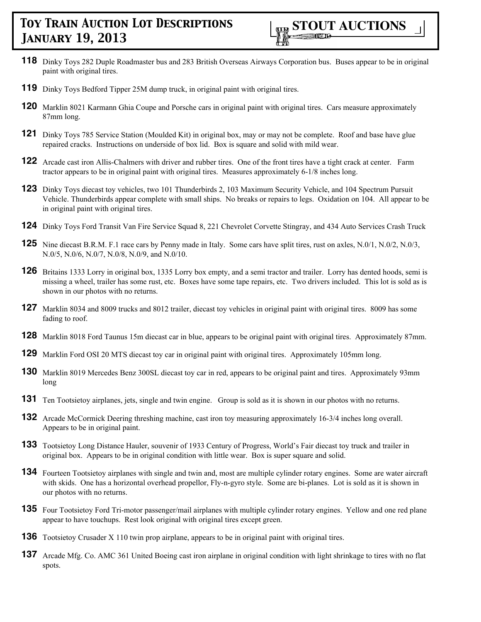- **118** Dinky Toys 282 Duple Roadmaster bus and 283 British Overseas Airways Corporation bus. Buses appear to be in original paint with original tires.
- **119** Dinky Toys Bedford Tipper 25M dump truck, in original paint with original tires.
- **120** Marklin 8021 Karmann Ghia Coupe and Porsche cars in original paint with original tires. Cars measure approximately 87mm long.
- **121** Dinky Toys 785 Service Station (Moulded Kit) in original box, may or may not be complete. Roof and base have glue repaired cracks. Instructions on underside of box lid. Box is square and solid with mild wear.
- **122** Arcade cast iron Allis-Chalmers with driver and rubber tires. One of the front tires have a tight crack at center. Farm tractor appears to be in original paint with original tires. Measures approximately 6-1/8 inches long.
- **123** Dinky Toys diecast toy vehicles, two 101 Thunderbirds 2, 103 Maximum Security Vehicle, and 104 Spectrum Pursuit Vehicle. Thunderbirds appear complete with small ships. No breaks or repairs to legs. Oxidation on 104. All appear to be in original paint with original tires.
- **124** Dinky Toys Ford Transit Van Fire Service Squad 8, 221 Chevrolet Corvette Stingray, and 434 Auto Services Crash Truck
- **125** Nine diecast B.R.M. F.1 race cars by Penny made in Italy. Some cars have split tires, rust on axles, N.0/1, N.0/2, N.0/3, N.0/5, N.0/6, N.0/7, N.0/8, N.0/9, and N.0/10.
- **126** Britains 1333 Lorry in original box, 1335 Lorry box empty, and a semi tractor and trailer. Lorry has dented hoods, semi is missing a wheel, trailer has some rust, etc. Boxes have some tape repairs, etc. Two drivers included. This lot is sold as is shown in our photos with no returns.
- **127** Marklin 8034 and 8009 trucks and 8012 trailer, diecast toy vehicles in original paint with original tires. 8009 has some fading to roof.
- **128** Marklin 8018 Ford Taunus 15m diecast car in blue, appears to be original paint with original tires. Approximately 87mm.
- **129** Marklin Ford OSI 20 MTS diecast toy car in original paint with original tires. Approximately 105mm long.
- **130** Marklin 8019 Mercedes Benz 300SL diecast toy car in red, appears to be original paint and tires. Approximately 93mm long
- **131** Ten Tootsietoy airplanes, jets, single and twin engine. Group is sold as it is shown in our photos with no returns.
- **132** Arcade McCormick Deering threshing machine, cast iron toy measuring approximately 16-3/4 inches long overall. Appears to be in original paint.
- **133** Tootsietoy Long Distance Hauler, souvenir of 1933 Century of Progress, World's Fair diecast toy truck and trailer in original box. Appears to be in original condition with little wear. Box is super square and solid.
- **134** Fourteen Tootsietoy airplanes with single and twin and, most are multiple cylinder rotary engines. Some are water aircraft with skids. One has a horizontal overhead propellor, Fly-n-gyro style. Some are bi-planes. Lot is sold as it is shown in our photos with no returns.
- **135** Four Tootsietoy Ford Tri-motor passenger/mail airplanes with multiple cylinder rotary engines. Yellow and one red plane appear to have touchups. Rest look original with original tires except green.
- **136** Tootsietoy Crusader X 110 twin prop airplane, appears to be in original paint with original tires.
- **137** Arcade Mfg. Co. AMC 361 United Boeing cast iron airplane in original condition with light shrinkage to tires with no flat spots.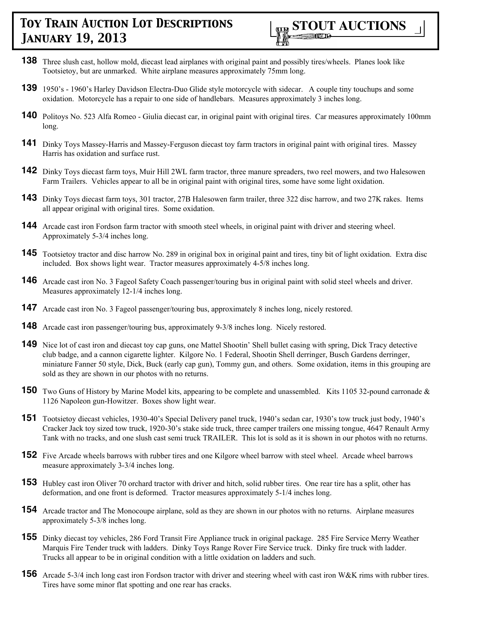

- **138** Three slush cast, hollow mold, diecast lead airplanes with original paint and possibly tires/wheels. Planes look like Tootsietoy, but are unmarked. White airplane measures approximately 75mm long.
- **139** 1950's 1960's Harley Davidson Electra-Duo Glide style motorcycle with sidecar. A couple tiny touchups and some oxidation. Motorcycle has a repair to one side of handlebars. Measures approximately 3 inches long.
- 140 Politoys No. 523 Alfa Romeo Giulia diecast car, in original paint with original tires. Car measures approximately 100mm long.
- **141** Dinky Toys Massey-Harris and Massey-Ferguson diecast toy farm tractors in original paint with original tires. Massey Harris has oxidation and surface rust.
- **142** Dinky Toys diecast farm toys, Muir Hill 2WL farm tractor, three manure spreaders, two reel mowers, and two Halesowen Farm Trailers. Vehicles appear to all be in original paint with original tires, some have some light oxidation.
- **143** Dinky Toys diecast farm toys, 301 tractor, 27B Halesowen farm trailer, three 322 disc harrow, and two 27K rakes. Items all appear original with original tires. Some oxidation.
- **144** Arcade cast iron Fordson farm tractor with smooth steel wheels, in original paint with driver and steering wheel. Approximately 5-3/4 inches long.
- **145** Tootsietoy tractor and disc harrow No. 289 in original box in original paint and tires, tiny bit of light oxidation. Extra disc included. Box shows light wear. Tractor measures approximately 4-5/8 inches long.
- **146** Arcade cast iron No. 3 Fageol Safety Coach passenger/touring bus in original paint with solid steel wheels and driver. Measures approximately 12-1/4 inches long.
- 147 Arcade cast iron No. 3 Fageol passenger/touring bus, approximately 8 inches long, nicely restored.
- **148** Arcade cast iron passenger/touring bus, approximately 9-3/8 inches long. Nicely restored.
- **149** Nice lot of cast iron and diecast toy cap guns, one Mattel Shootin' Shell bullet casing with spring, Dick Tracy detective club badge, and a cannon cigarette lighter. Kilgore No. 1 Federal, Shootin Shell derringer, Busch Gardens derringer, miniature Fanner 50 style, Dick, Buck (early cap gun), Tommy gun, and others. Some oxidation, items in this grouping are sold as they are shown in our photos with no returns.
- **150** Two Guns of History by Marine Model kits, appearing to be complete and unassembled. Kits 1105 32-pound carronade  $\&$ 1126 Napoleon gun-Howitzer. Boxes show light wear.
- **151** Tootsietoy diecast vehicles, 1930-40's Special Delivery panel truck, 1940's sedan car, 1930's tow truck just body, 1940's Cracker Jack toy sized tow truck, 1920-30's stake side truck, three camper trailers one missing tongue, 4647 Renault Army Tank with no tracks, and one slush cast semi truck TRAILER. This lot is sold as it is shown in our photos with no returns.
- **152** Five Arcade wheels barrows with rubber tires and one Kilgore wheel barrow with steel wheel. Arcade wheel barrows measure approximately 3-3/4 inches long.
- **153** Hubley cast iron Oliver 70 orchard tractor with driver and hitch, solid rubber tires. One rear tire has a split, other has deformation, and one front is deformed. Tractor measures approximately 5-1/4 inches long.
- **154** Arcade tractor and The Monocoupe airplane, sold as they are shown in our photos with no returns. Airplane measures approximately 5-3/8 inches long.
- **155** Dinky diecast toy vehicles, 286 Ford Transit Fire Appliance truck in original package. 285 Fire Service Merry Weather Marquis Fire Tender truck with ladders. Dinky Toys Range Rover Fire Service truck. Dinky fire truck with ladder. Trucks all appear to be in original condition with a little oxidation on ladders and such.
- **156** Arcade 5-3/4 inch long cast iron Fordson tractor with driver and steering wheel with cast iron W&K rims with rubber tires. Tires have some minor flat spotting and one rear has cracks.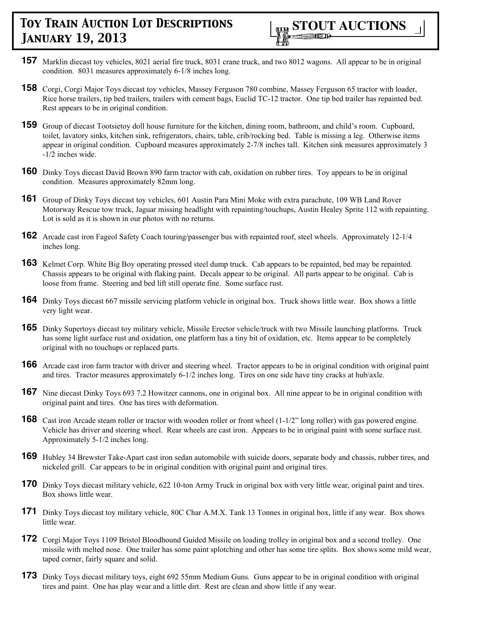- **157** Marklin diecast toy vehicles, 8021 aerial fire truck, 8031 crane truck, and two 8012 wagons. All appear to be in original condition. 8031 measures approximately 6-1/8 inches long.
- **158** Corgi, Corgi Major Toys diecast toy vehicles, Massey Ferguson 780 combine, Massey Ferguson 65 tractor with loader, Rice horse trailers, tip bed trailers, trailers with cement bags, Euclid TC-12 tractor. One tip bed trailer has repainted bed. Rest appears to be in original condition.
- **159** Group of diecast Tootsietoy doll house furniture for the kitchen, dining room, bathroom, and child's room. Cupboard, toilet, lavatory sinks, kitchen sink, refrigerators, chairs, table, crib/rocking bed. Table is missing a leg. Otherwise items appear in original condition. Cupboard measures approximately 2-7/8 inches tall. Kitchen sink measures approximately 3 -1/2 inches wide.
- **160** Dinky Toys diecast David Brown 890 farm tractor with cab, oxidation on rubber tires. Toy appears to be in original condition. Measures approximately 82mm long.
- **161** Group of Dinky Toys diecast toy vehicles, 601 Austin Para Mini Moke with extra parachute, 109 WB Land Rover Motorway Rescue tow truck, Jaguar missing headlight with repainting/touchups, Austin Healey Sprite 112 with repainting. Lot is sold as it is shown in our photos with no returns.
- **162** Arcade cast iron Fageol Safety Coach touring/passenger bus with repainted roof, steel wheels. Approximately 12-1/4 inches long.
- **163** Kelmet Corp. White Big Boy operating pressed steel dump truck. Cab appears to be repainted, bed may be repainted. Chassis appears to be original with flaking paint. Decals appear to be original. All parts appear to be original. Cab is loose from frame. Steering and bed lift still operate fine. Some surface rust.
- **164** Dinky Toys diecast 667 missile servicing platform vehicle in original box. Truck shows little wear. Box shows a little very light wear.
- **165** Dinky Supertoys diecast toy military vehicle, Missile Erector vehicle/truck with two Missile launching platforms. Truck has some light surface rust and oxidation, one platform has a tiny bit of oxidation, etc. Items appear to be completely original with no touchups or replaced parts.
- **166** Arcade cast iron farm tractor with driver and steering wheel. Tractor appears to be in original condition with original paint and tires. Tractor measures approximately 6-1/2 inches long. Tires on one side have tiny cracks at hub/axle.
- **167** Nine diecast Dinky Toys 693 7.2 Howitzer cannons, one in original box. All nine appear to be in original condition with original paint and tires. One has tires with deformation.
- **168** Cast iron Arcade steam roller or tractor with wooden roller or front wheel (1-1/2" long roller) with gas powered engine. Vehicle has driver and steering wheel. Rear wheels are cast iron. Appears to be in original paint with some surface rust. Approximately 5-1/2 inches long.
- **169** Hubley 34 Brewster Take-Apart cast iron sedan automobile with suicide doors, separate body and chassis, rubber tires, and nickeled grill. Car appears to be in original condition with original paint and original tires.
- **170** Dinky Toys diecast military vehicle, 622 10-ton Army Truck in original box with very little wear, original paint and tires. Box shows little wear.
- 171 Dinky Toys diecast toy military vehicle, 80C Char A.M.X. Tank 13 Tonnes in original box, little if any wear. Box shows little wear.
- **172** Corgi Major Toys 1109 Bristol Bloodhound Guided Missile on loading trolley in original box and a second trolley. One missile with melted nose. One trailer has some paint splotching and other has some tire splits. Box shows some mild wear, taped corner, fairly square and solid.
- **173** Dinky Toys diecast military toys, eight 692 55mm Medium Guns. Guns appear to be in original condition with original tires and paint. One has play wear and a little dirt. Rest are clean and show little if any wear.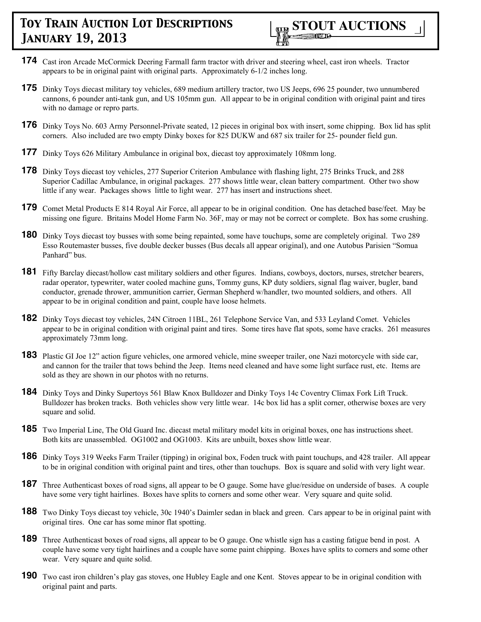

- **174** Cast iron Arcade McCormick Deering Farmall farm tractor with driver and steering wheel, cast iron wheels. Tractor appears to be in original paint with original parts. Approximately 6-1/2 inches long.
- **175** Dinky Toys diecast military toy vehicles, 689 medium artillery tractor, two US Jeeps, 696 25 pounder, two unnumbered cannons, 6 pounder anti-tank gun, and US 105mm gun. All appear to be in original condition with original paint and tires with no damage or repro parts.
- **176** Dinky Toys No. 603 Army Personnel-Private seated, 12 pieces in original box with insert, some chipping. Box lid has split corners. Also included are two empty Dinky boxes for 825 DUKW and 687 six trailer for 25- pounder field gun.
- **177** Dinky Toys 626 Military Ambulance in original box, diecast toy approximately 108mm long.
- **178** Dinky Toys diecast toy vehicles, 277 Superior Criterion Ambulance with flashing light, 275 Brinks Truck, and 288 Superior Cadillac Ambulance, in original packages. 277 shows little wear, clean battery compartment. Other two show little if any wear. Packages shows little to light wear. 277 has insert and instructions sheet.
- **179** Comet Metal Products E 814 Royal Air Force, all appear to be in original condition. One has detached base/feet. May be missing one figure. Britains Model Home Farm No. 36F, may or may not be correct or complete. Box has some crushing.
- **180** Dinky Toys diecast toy busses with some being repainted, some have touchups, some are completely original. Two 289 Esso Routemaster busses, five double decker busses (Bus decals all appear original), and one Autobus Parisien "Somua Panhard" bus.
- **181** Fifty Barclay diecast/hollow cast military soldiers and other figures. Indians, cowboys, doctors, nurses, stretcher bearers, radar operator, typewriter, water cooled machine guns, Tommy guns, KP duty soldiers, signal flag waiver, bugler, band conductor, grenade thrower, ammunition carrier, German Shepherd w/handler, two mounted soldiers, and others. All appear to be in original condition and paint, couple have loose helmets.
- **182** Dinky Toys diecast toy vehicles, 24N Citroen 11BL, 261 Telephone Service Van, and 533 Leyland Comet. Vehicles appear to be in original condition with original paint and tires. Some tires have flat spots, some have cracks. 261 measures approximately 73mm long.
- **183** Plastic GI Joe 12" action figure vehicles, one armored vehicle, mine sweeper trailer, one Nazi motorcycle with side car, and cannon for the trailer that tows behind the Jeep. Items need cleaned and have some light surface rust, etc. Items are sold as they are shown in our photos with no returns.
- **184** Dinky Toys and Dinky Supertoys 561 Blaw Knox Bulldozer and Dinky Toys 14c Coventry Climax Fork Lift Truck. Bulldozer has broken tracks. Both vehicles show very little wear. 14c box lid has a split corner, otherwise boxes are very square and solid.
- **185** Two Imperial Line, The Old Guard Inc. diecast metal military model kits in original boxes, one has instructions sheet. Both kits are unassembled. OG1002 and OG1003. Kits are unbuilt, boxes show little wear.
- **186** Dinky Toys 319 Weeks Farm Trailer (tipping) in original box, Foden truck with paint touchups, and 428 trailer. All appear to be in original condition with original paint and tires, other than touchups. Box is square and solid with very light wear.
- **187** Three Authenticast boxes of road signs, all appear to be O gauge. Some have glue/residue on underside of bases. A couple have some very tight hairlines. Boxes have splits to corners and some other wear. Very square and quite solid.
- **188** Two Dinky Toys diecast toy vehicle, 30c 1940's Daimler sedan in black and green. Cars appear to be in original paint with original tires. One car has some minor flat spotting.
- **189** Three Authenticast boxes of road signs, all appear to be O gauge. One whistle sign has a casting fatigue bend in post. A couple have some very tight hairlines and a couple have some paint chipping. Boxes have splits to corners and some other wear. Very square and quite solid.
- **190** Two cast iron children's play gas stoves, one Hubley Eagle and one Kent. Stoves appear to be in original condition with original paint and parts.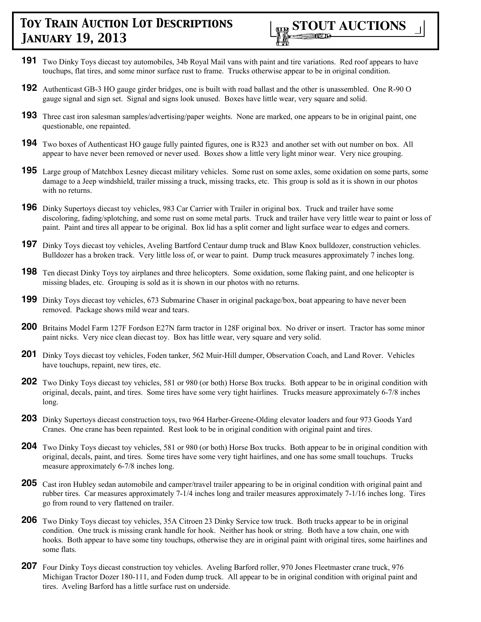

- **191** Two Dinky Toys diecast toy automobiles, 34b Royal Mail vans with paint and tire variations. Red roof appears to have touchups, flat tires, and some minor surface rust to frame. Trucks otherwise appear to be in original condition.
- **192** Authenticast GB-3 HO gauge girder bridges, one is built with road ballast and the other is unassembled. One R-90 O gauge signal and sign set. Signal and signs look unused. Boxes have little wear, very square and solid.
- **193** Three cast iron salesman samples/advertising/paper weights. None are marked, one appears to be in original paint, one questionable, one repainted.
- **194** Two boxes of Authenticast HO gauge fully painted figures, one is R323 and another set with out number on box. All appear to have never been removed or never used. Boxes show a little very light minor wear. Very nice grouping.
- **195** Large group of Matchbox Lesney diecast military vehicles. Some rust on some axles, some oxidation on some parts, some damage to a Jeep windshield, trailer missing a truck, missing tracks, etc. This group is sold as it is shown in our photos with no returns.
- **196** Dinky Supertoys diecast toy vehicles, 983 Car Carrier with Trailer in original box. Truck and trailer have some discoloring, fading/splotching, and some rust on some metal parts. Truck and trailer have very little wear to paint or loss of paint. Paint and tires all appear to be original. Box lid has a split corner and light surface wear to edges and corners.
- **197** Dinky Toys diecast toy vehicles, Aveling Bartford Centaur dump truck and Blaw Knox bulldozer, construction vehicles. Bulldozer has a broken track. Very little loss of, or wear to paint. Dump truck measures approximately 7 inches long.
- **198** Ten diecast Dinky Toys toy airplanes and three helicopters. Some oxidation, some flaking paint, and one helicopter is missing blades, etc. Grouping is sold as it is shown in our photos with no returns.
- 199 Dinky Toys diecast toy vehicles, 673 Submarine Chaser in original package/box, boat appearing to have never been removed. Package shows mild wear and tears.
- **200** Britains Model Farm 127F Fordson E27N farm tractor in 128F original box. No driver or insert. Tractor has some minor paint nicks. Very nice clean diecast toy. Box has little wear, very square and very solid.
- **201** Dinky Toys diecast toy vehicles, Foden tanker, 562 Muir-Hill dumper, Observation Coach, and Land Rover. Vehicles have touchups, repaint, new tires, etc.
- **202** Two Dinky Toys diecast toy vehicles, 581 or 980 (or both) Horse Box trucks. Both appear to be in original condition with original, decals, paint, and tires. Some tires have some very tight hairlines. Trucks measure approximately 6-7/8 inches long.
- **203** Dinky Supertoys diecast construction toys, two 964 Harber-Greene-Olding elevator loaders and four 973 Goods Yard Cranes. One crane has been repainted. Rest look to be in original condition with original paint and tires.
- **204** Two Dinky Toys diecast toy vehicles, 581 or 980 (or both) Horse Box trucks. Both appear to be in original condition with original, decals, paint, and tires. Some tires have some very tight hairlines, and one has some small touchups. Trucks measure approximately 6-7/8 inches long.
- **205** Cast iron Hubley sedan automobile and camper/travel trailer appearing to be in original condition with original paint and rubber tires. Car measures approximately 7-1/4 inches long and trailer measures approximately 7-1/16 inches long. Tires go from round to very flattened on trailer.
- **206** Two Dinky Toys diecast toy vehicles, 35A Citroen 23 Dinky Service tow truck. Both trucks appear to be in original condition. One truck is missing crank handle for hook. Neither has hook or string. Both have a tow chain, one with hooks. Both appear to have some tiny touchups, otherwise they are in original paint with original tires, some hairlines and some flats.
- **207** Four Dinky Toys diecast construction toy vehicles. Aveling Barford roller, 970 Jones Fleetmaster crane truck, 976 Michigan Tractor Dozer 180-111, and Foden dump truck. All appear to be in original condition with original paint and tires. Aveling Barford has a little surface rust on underside.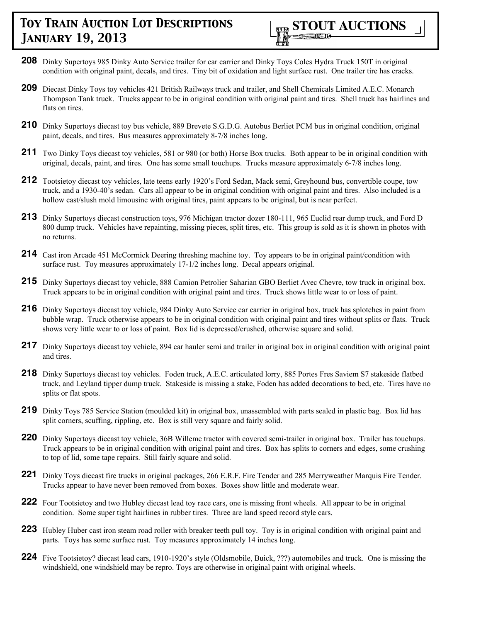

- **208** Dinky Supertoys 985 Dinky Auto Service trailer for car carrier and Dinky Toys Coles Hydra Truck 150T in original condition with original paint, decals, and tires. Tiny bit of oxidation and light surface rust. One trailer tire has cracks.
- **209** Diecast Dinky Toys toy vehicles 421 British Railways truck and trailer, and Shell Chemicals Limited A.E.C. Monarch Thompson Tank truck. Trucks appear to be in original condition with original paint and tires. Shell truck has hairlines and flats on tires.
- **210** Dinky Supertoys diecast toy bus vehicle, 889 Brevete S.G.D.G. Autobus Berliet PCM bus in original condition, original paint, decals, and tires. Bus measures approximately 8-7/8 inches long.
- **211** Two Dinky Toys diecast toy vehicles, 581 or 980 (or both) Horse Box trucks. Both appear to be in original condition with original, decals, paint, and tires. One has some small touchups. Trucks measure approximately 6-7/8 inches long.
- **212** Tootsietoy diecast toy vehicles, late teens early 1920's Ford Sedan, Mack semi, Greyhound bus, convertible coupe, tow truck, and a 1930-40's sedan. Cars all appear to be in original condition with original paint and tires. Also included is a hollow cast/slush mold limousine with original tires, paint appears to be original, but is near perfect.
- **213** Dinky Supertoys diecast construction toys, 976 Michigan tractor dozer 180-111, 965 Euclid rear dump truck, and Ford D 800 dump truck. Vehicles have repainting, missing pieces, split tires, etc. This group is sold as it is shown in photos with no returns.
- 214 Cast iron Arcade 451 McCormick Deering threshing machine toy. Toy appears to be in original paint/condition with surface rust. Toy measures approximately 17-1/2 inches long. Decal appears original.
- **215** Dinky Supertoys diecast toy vehicle, 888 Camion Petrolier Saharian GBO Berliet Avec Chevre, tow truck in original box. Truck appears to be in original condition with original paint and tires. Truck shows little wear to or loss of paint.
- **216** Dinky Supertoys diecast toy vehicle, 984 Dinky Auto Service car carrier in original box, truck has splotches in paint from bubble wrap. Truck otherwise appears to be in original condition with original paint and tires without splits or flats. Truck shows very little wear to or loss of paint. Box lid is depressed/crushed, otherwise square and solid.
- 217 Dinky Supertoys diecast toy vehicle, 894 car hauler semi and trailer in original box in original condition with original paint and tires.
- **218** Dinky Supertoys diecast toy vehicles. Foden truck, A.E.C. articulated lorry, 885 Portes Fres Saviem S7 stakeside flatbed truck, and Leyland tipper dump truck. Stakeside is missing a stake, Foden has added decorations to bed, etc. Tires have no splits or flat spots.
- **219** Dinky Toys 785 Service Station (moulded kit) in original box, unassembled with parts sealed in plastic bag. Box lid has split corners, scuffing, rippling, etc. Box is still very square and fairly solid.
- **220** Dinky Supertoys diecast toy vehicle, 36B Willeme tractor with covered semi-trailer in original box. Trailer has touchups. Truck appears to be in original condition with original paint and tires. Box has splits to corners and edges, some crushing to top of lid, some tape repairs. Still fairly square and solid.
- **221** Dinky Toys diecast fire trucks in original packages, 266 E.R.F. Fire Tender and 285 Merryweather Marquis Fire Tender. Trucks appear to have never been removed from boxes. Boxes show little and moderate wear.
- **222** Four Tootsietoy and two Hubley diecast lead toy race cars, one is missing front wheels. All appear to be in original condition. Some super tight hairlines in rubber tires. Three are land speed record style cars.
- **223** Hubley Huber cast iron steam road roller with breaker teeth pull toy. Toy is in original condition with original paint and parts. Toys has some surface rust. Toy measures approximately 14 inches long.
- **224** Five Tootsietoy? diecast lead cars, 1910-1920's style (Oldsmobile, Buick, ???) automobiles and truck. One is missing the windshield, one windshield may be repro. Toys are otherwise in original paint with original wheels.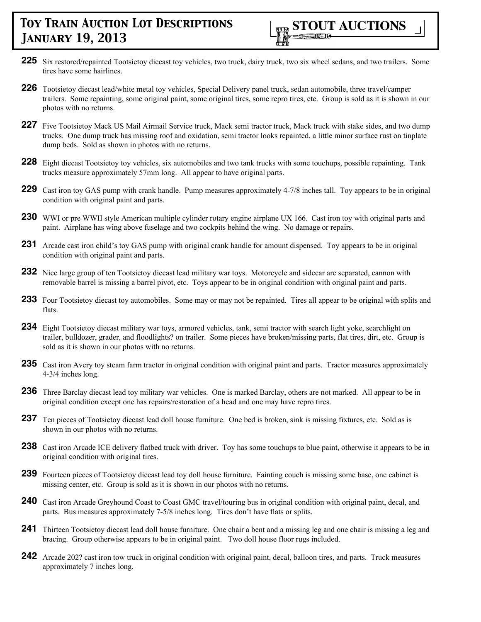- **225** Six restored/repainted Tootsietoy diecast toy vehicles, two truck, dairy truck, two six wheel sedans, and two trailers. Some tires have some hairlines.
- **226** Tootsietoy diecast lead/white metal toy vehicles, Special Delivery panel truck, sedan automobile, three travel/camper trailers. Some repainting, some original paint, some original tires, some repro tires, etc. Group is sold as it is shown in our photos with no returns.
- 227 Five Tootsietoy Mack US Mail Airmail Service truck, Mack semi tractor truck, Mack truck with stake sides, and two dump trucks. One dump truck has missing roof and oxidation, semi tractor looks repainted, a little minor surface rust on tinplate dump beds. Sold as shown in photos with no returns.
- **228** Eight diecast Tootsietoy toy vehicles, six automobiles and two tank trucks with some touchups, possible repainting. Tank trucks measure approximately 57mm long. All appear to have original parts.
- **229** Cast iron toy GAS pump with crank handle. Pump measures approximately 4-7/8 inches tall. Toy appears to be in original condition with original paint and parts.
- **230** WWI or pre WWII style American multiple cylinder rotary engine airplane UX 166. Cast iron toy with original parts and paint. Airplane has wing above fuselage and two cockpits behind the wing. No damage or repairs.
- **231** Arcade cast iron child's toy GAS pump with original crank handle for amount dispensed. Toy appears to be in original condition with original paint and parts.
- **232** Nice large group of ten Tootsietoy diecast lead military war toys. Motorcycle and sidecar are separated, cannon with removable barrel is missing a barrel pivot, etc. Toys appear to be in original condition with original paint and parts.
- **233** Four Tootsietoy diecast toy automobiles. Some may or may not be repainted. Tires all appear to be original with splits and flats.
- **234** Eight Tootsietoy diecast military war toys, armored vehicles, tank, semi tractor with search light yoke, searchlight on trailer, bulldozer, grader, and floodlights? on trailer. Some pieces have broken/missing parts, flat tires, dirt, etc. Group is sold as it is shown in our photos with no returns.
- **235** Cast iron Avery toy steam farm tractor in original condition with original paint and parts. Tractor measures approximately 4-3/4 inches long.
- **236** Three Barclay diecast lead toy military war vehicles. One is marked Barclay, others are not marked. All appear to be in original condition except one has repairs/restoration of a head and one may have repro tires.
- 237 Ten pieces of Tootsietoy diecast lead doll house furniture. One bed is broken, sink is missing fixtures, etc. Sold as is shown in our photos with no returns.
- **238** Cast iron Arcade ICE delivery flatbed truck with driver. Toy has some touchups to blue paint, otherwise it appears to be in original condition with original tires.
- **239** Fourteen pieces of Tootsietoy diecast lead toy doll house furniture. Fainting couch is missing some base, one cabinet is missing center, etc. Group is sold as it is shown in our photos with no returns.
- **240** Cast iron Arcade Greyhound Coast to Coast GMC travel/touring bus in original condition with original paint, decal, and parts. Bus measures approximately 7-5/8 inches long. Tires don't have flats or splits.
- **241** Thirteen Tootsietoy diecast lead doll house furniture. One chair a bent and a missing leg and one chair is missing a leg and bracing. Group otherwise appears to be in original paint. Two doll house floor rugs included.
- **242** Arcade 202? cast iron tow truck in original condition with original paint, decal, balloon tires, and parts. Truck measures approximately 7 inches long.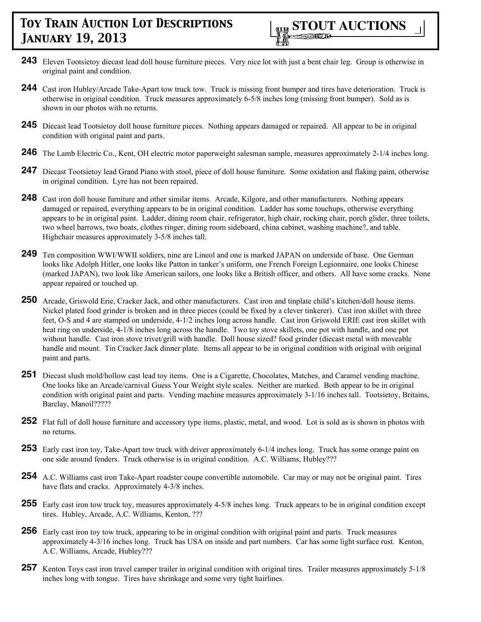- **243** Eleven Tootsietoy diecast lead doll house furniture pieces. Very nice lot with just a bent chair leg. Group is otherwise in original paint and condition.
- **244** Cast iron Hubley/Arcade Take-Apart tow truck tow. Truck is missing front bumper and tires have deterioration. Truck is otherwise in original condition. Truck measures approximately 6-5/8 inches long (missing front bumper). Sold as is shown in our photos with no returns.
- 245 Diecast lead Tootsietoy doll house furniture pieces. Nothing appears damaged or repaired. All appear to be in original condition with original paint and parts.
- **246** The Lamb Electric Co., Kent, OH electric motor paperweight salesman sample, measures approximately 2-1/4 inches long.
- 247 Diecast Tootsietoy lead Grand Piano with stool, piece of doll house furniture. Some oxidation and flaking paint, otherwise in original condition. Lyre has not been repaired.
- **248** Cast iron doll house furniture and other similar items. Arcade, Kilgore, and other manufacturers. Nothing appears damaged or repaired, everything appears to be in original condition. Ladder has some touchups, otherwise everything appears to be in original paint. Ladder, dining room chair, refrigerator, high chair, rocking chair, porch glider, three toilets, two wheel barrows, two boats, clothes ringer, dining room sideboard, china cabinet, washing machine?, and table. Highchair measures approximately 3-5/8 inches tall.
- **249** Ten composition WWI/WWII soldiers, nine are Lineol and one is marked JAPAN on underside of base. One German looks like Adolph Hitler, one looks like Patton in tanker's uniform, one French Foreign Legionnaire, one looks Chinese (marked JAPAN), two look like American sailors, one looks like a British officer, and others. All have some cracks. None appear repaired or touched up.
- **250** Arcade, Griswold Erie, Cracker Jack, and other manufacturers. Cast iron and tinplate child's kitchen/doll house items. Nickel plated food grinder is broken and in three pieces (could be fixed by a clever tinkerer). Cast iron skillet with three feet, O-S and 4 are stamped on underside, 4-1/2 inches long across handle. Cast iron Griswold ERIE cast iron skillet with heat ring on underside, 4-1/8 inches long across the handle. Two toy stove skillets, one pot with handle, and one pot without handle. Cast iron stove trivet/grill with handle. Doll house sized? food grinder (diecast metal with moveable handle and mount. Tin Cracker Jack dinner plate. Items all appear to be in original condition with original with original paint and parts.
- **251** Diecast slush mold/hollow cast lead toy items. One is a Cigarette, Chocolates, Matches, and Caramel vending machine. One looks like an Arcade/carnival Guess Your Weight style scales. Neither are marked. Both appear to be in original condition with original paint and parts. Vending machine measures approximately 3-1/16 inches tall. Tootsietoy, Britains, Barclay, Manoil?????
- **252** Flat full of doll house furniture and accessory type items, plastic, metal, and wood. Lot is sold as is shown in photos with no returns.
- **253** Early cast iron toy, Take-Apart tow truck with driver approximately 6-1/4 inches long. Truck has some orange paint on one side around fenders. Truck otherwise is in original condition. A.C. Williams, Hubley???
- **254** A.C. Williams cast iron Take-Apart roadster coupe convertible automobile. Car may or may not be original paint. Tires have flats and cracks. Approximately 4-3/8 inches.
- **255** Early cast iron tow truck toy, measures approximately 4-5/8 inches long. Truck appears to be in original condition except tires. Hubley, Arcade, A.C. Williams, Kenton, ???
- **256** Early cast iron toy tow truck, appearing to be in original condition with original paint and parts. Truck measures approximately 4-3/16 inches long. Truck has USA on inside and part numbers. Car has some light surface rust. Kenton, A.C. Williams, Arcade, Hubley???
- **257** Kenton Toys cast iron travel camper trailer in original condition with original tires. Trailer measures approximately 5-1/8 inches long with tongue. Tires have shrinkage and some very tight hairlines.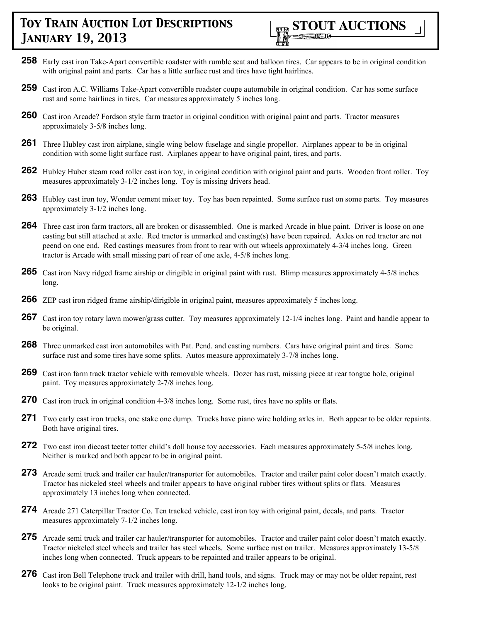

- **258** Early cast iron Take-Apart convertible roadster with rumble seat and balloon tires. Car appears to be in original condition with original paint and parts. Car has a little surface rust and tires have tight hairlines.
- **259** Cast iron A.C. Williams Take-Apart convertible roadster coupe automobile in original condition. Car has some surface rust and some hairlines in tires. Car measures approximately 5 inches long.
- **260** Cast iron Arcade? Fordson style farm tractor in original condition with original paint and parts. Tractor measures approximately 3-5/8 inches long.
- **261** Three Hubley cast iron airplane, single wing below fuselage and single propellor. Airplanes appear to be in original condition with some light surface rust. Airplanes appear to have original paint, tires, and parts.
- **262** Hubley Huber steam road roller cast iron toy, in original condition with original paint and parts. Wooden front roller. Toy measures approximately 3-1/2 inches long. Toy is missing drivers head.
- **263** Hubley cast iron toy, Wonder cement mixer toy. Toy has been repainted. Some surface rust on some parts. Toy measures approximately 3-1/2 inches long.
- **264** Three cast iron farm tractors, all are broken or disassembled. One is marked Arcade in blue paint. Driver is loose on one casting but still attached at axle. Red tractor is unmarked and casting(s) have been repaired. Axles on red tractor are not peend on one end. Red castings measures from front to rear with out wheels approximately 4-3/4 inches long. Green tractor is Arcade with small missing part of rear of one axle, 4-5/8 inches long.
- **265** Cast iron Navy ridged frame airship or dirigible in original paint with rust. Blimp measures approximately 4-5/8 inches long.
- **266** ZEP cast iron ridged frame airship/dirigible in original paint, measures approximately 5 inches long.
- **267** Cast iron toy rotary lawn mower/grass cutter. Toy measures approximately 12-1/4 inches long. Paint and handle appear to be original.
- **268** Three unmarked cast iron automobiles with Pat. Pend. and casting numbers. Cars have original paint and tires. Some surface rust and some tires have some splits. Autos measure approximately 3-7/8 inches long.
- **269** Cast iron farm track tractor vehicle with removable wheels. Dozer has rust, missing piece at rear tongue hole, original paint. Toy measures approximately 2-7/8 inches long.
- **270** Cast iron truck in original condition 4-3/8 inches long. Some rust, tires have no splits or flats.
- **271** Two early cast iron trucks, one stake one dump. Trucks have piano wire holding axles in. Both appear to be older repaints. Both have original tires.
- **272** Two cast iron diecast teeter totter child's doll house toy accessories. Each measures approximately 5-5/8 inches long. Neither is marked and both appear to be in original paint.
- **273** Arcade semi truck and trailer car hauler/transporter for automobiles. Tractor and trailer paint color doesn't match exactly. Tractor has nickeled steel wheels and trailer appears to have original rubber tires without splits or flats. Measures approximately 13 inches long when connected.
- **274** Arcade 271 Caterpillar Tractor Co. Ten tracked vehicle, cast iron toy with original paint, decals, and parts. Tractor measures approximately 7-1/2 inches long.
- **275** Arcade semi truck and trailer car hauler/transporter for automobiles. Tractor and trailer paint color doesn't match exactly. Tractor nickeled steel wheels and trailer has steel wheels. Some surface rust on trailer. Measures approximately 13-5/8 inches long when connected. Truck appears to be repainted and trailer appears to be original.
- **276** Cast iron Bell Telephone truck and trailer with drill, hand tools, and signs. Truck may or may not be older repaint, rest looks to be original paint. Truck measures approximately 12-1/2 inches long.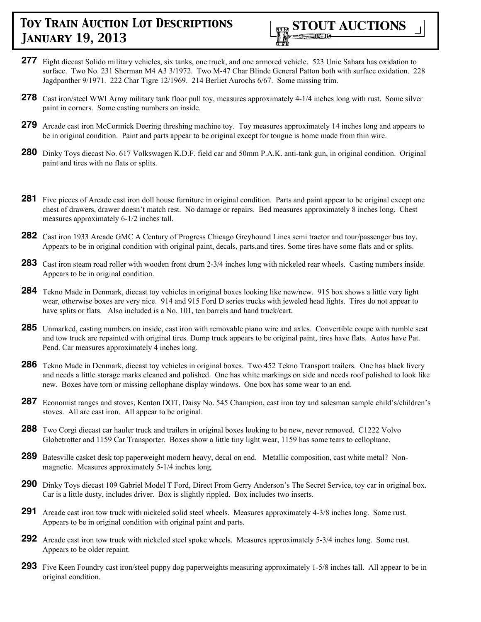

- **277** Eight diecast Solido military vehicles, six tanks, one truck, and one armored vehicle. 523 Unic Sahara has oxidation to surface. Two No. 231 Sherman M4 A3 3/1972. Two M-47 Char Blinde General Patton both with surface oxidation. 228 Jagdpanther 9/1971. 222 Char Tigre 12/1969. 214 Berliet Aurochs 6/67. Some missing trim.
- **278** Cast iron/steel WWI Army military tank floor pull toy, measures approximately 4-1/4 inches long with rust. Some silver paint in corners. Some casting numbers on inside.
- **279** Arcade cast iron McCormick Deering threshing machine toy. Toy measures approximately 14 inches long and appears to be in original condition. Paint and parts appear to be original except for tongue is home made from thin wire.
- **280** Dinky Toys diecast No. 617 Volkswagen K.D.F. field car and 50mm P.A.K. anti-tank gun, in original condition. Original paint and tires with no flats or splits.
- **281** Five pieces of Arcade cast iron doll house furniture in original condition. Parts and paint appear to be original except one chest of drawers, drawer doesn't match rest. No damage or repairs. Bed measures approximately 8 inches long. Chest measures approximately 6-1/2 inches tall.
- **282** Cast iron 1933 Arcade GMC A Century of Progress Chicago Greyhound Lines semi tractor and tour/passenger bus toy. Appears to be in original condition with original paint, decals, parts,and tires. Some tires have some flats and or splits.
- **283** Cast iron steam road roller with wooden front drum 2-3/4 inches long with nickeled rear wheels. Casting numbers inside. Appears to be in original condition.
- **284** Tekno Made in Denmark, diecast toy vehicles in original boxes looking like new/new. 915 box shows a little very light wear, otherwise boxes are very nice. 914 and 915 Ford D series trucks with jeweled head lights. Tires do not appear to have splits or flats. Also included is a No. 101, ten barrels and hand truck/cart.
- **285** Unmarked, casting numbers on inside, cast iron with removable piano wire and axles. Convertible coupe with rumble seat and tow truck are repainted with original tires. Dump truck appears to be original paint, tires have flats. Autos have Pat. Pend. Car measures approximately 4 inches long.
- **286** Tekno Made in Denmark, diecast toy vehicles in original boxes. Two 452 Tekno Transport trailers. One has black livery and needs a little storage marks cleaned and polished. One has white markings on side and needs roof polished to look like new. Boxes have torn or missing cellophane display windows. One box has some wear to an end.
- **287** Economist ranges and stoves, Kenton DOT, Daisy No. 545 Champion, cast iron toy and salesman sample child's/children's stoves. All are cast iron. All appear to be original.
- **288** Two Corgi diecast car hauler truck and trailers in original boxes looking to be new, never removed. C1222 Volvo Globetrotter and 1159 Car Transporter. Boxes show a little tiny light wear, 1159 has some tears to cellophane.
- **289** Batesville casket desk top paperweight modern heavy, decal on end. Metallic composition, cast white metal? Nonmagnetic. Measures approximately 5-1/4 inches long.
- 290 Dinky Toys diecast 109 Gabriel Model T Ford, Direct From Gerry Anderson's The Secret Service, toy car in original box. Car is a little dusty, includes driver. Box is slightly rippled. Box includes two inserts.
- **291** Arcade cast iron tow truck with nickeled solid steel wheels. Measures approximately 4-3/8 inches long. Some rust. Appears to be in original condition with original paint and parts.
- **292** Arcade cast iron tow truck with nickeled steel spoke wheels. Measures approximately 5-3/4 inches long. Some rust. Appears to be older repaint.
- **293** Five Keen Foundry cast iron/steel puppy dog paperweights measuring approximately 1-5/8 inches tall. All appear to be in original condition.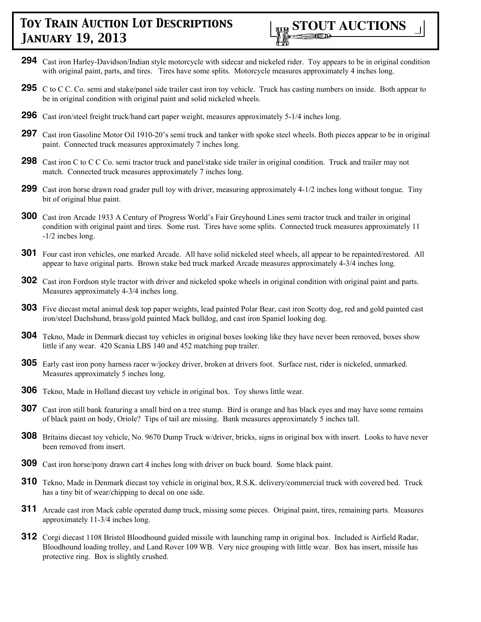

- **294** Cast iron Harley-Davidson/Indian style motorcycle with sidecar and nickeled rider. Toy appears to be in original condition with original paint, parts, and tires. Tires have some splits. Motorcycle measures approximately 4 inches long.
- **295** C to C C. Co. semi and stake/panel side trailer cast iron toy vehicle. Truck has casting numbers on inside. Both appear to be in original condition with original paint and solid nickeled wheels.
- **296** Cast iron/steel freight truck/hand cart paper weight, measures approximately 5-1/4 inches long.
- **297** Cast iron Gasoline Motor Oil 1910-20's semi truck and tanker with spoke steel wheels. Both pieces appear to be in original paint. Connected truck measures approximately 7 inches long.
- **298** Cast iron C to C C Co. semi tractor truck and panel/stake side trailer in original condition. Truck and trailer may not match. Connected truck measures approximately 7 inches long.
- **299** Cast iron horse drawn road grader pull toy with driver, measuring approximately 4-1/2 inches long without tongue. Tiny bit of original blue paint.
- **300** Cast iron Arcade 1933 A Century of Progress World's Fair Greyhound Lines semi tractor truck and trailer in original condition with original paint and tires. Some rust. Tires have some splits. Connected truck measures approximately 11 -1/2 inches long.
- **301** Four cast iron vehicles, one marked Arcade. All have solid nickeled steel wheels, all appear to be repainted/restored. All appear to have original parts. Brown stake bed truck marked Arcade measures approximately 4-3/4 inches long.
- **302** Cast iron Fordson style tractor with driver and nickeled spoke wheels in original condition with original paint and parts. Measures approximately 4-3/4 inches long.
- **303** Five diecast metal animal desk top paper weights, lead painted Polar Bear, cast iron Scotty dog, red and gold painted cast iron/steel Dachshund, brass/gold painted Mack bulldog, and cast iron Spaniel looking dog.
- **304** Tekno, Made in Denmark diecast toy vehicles in original boxes looking like they have never been removed, boxes show little if any wear. 420 Scania LBS 140 and 452 matching pup trailer.
- **305** Early cast iron pony harness racer w/jockey driver, broken at drivers foot. Surface rust, rider is nickeled, unmarked. Measures approximately 5 inches long.
- **306** Tekno, Made in Holland diecast toy vehicle in original box. Toy shows little wear.
- **307** Cast iron still bank featuring a small bird on a tree stump. Bird is orange and has black eyes and may have some remains of black paint on body, Oriole? Tips of tail are missing. Bank measures approximately 5 inches tall.
- **308** Britains diecast toy vehicle, No. 9670 Dump Truck w/driver, bricks, signs in original box with insert. Looks to have never been removed from insert.
- **309** Cast iron horse/pony drawn cart 4 inches long with driver on buck board. Some black paint.
- **310** Tekno, Made in Denmark diecast toy vehicle in original box, R.S.K. delivery/commercial truck with covered bed. Truck has a tiny bit of wear/chipping to decal on one side.
- **311** Arcade cast iron Mack cable operated dump truck, missing some pieces. Original paint, tires, remaining parts. Measures approximately 11-3/4 inches long.
- **312** Corgi diecast 1108 Bristol Bloodhound guided missile with launching ramp in original box. Included is Airfield Radar, Bloodhound loading trolley, and Land Rover 109 WB. Very nice grouping with little wear. Box has insert, missile has protective ring. Box is slightly crushed.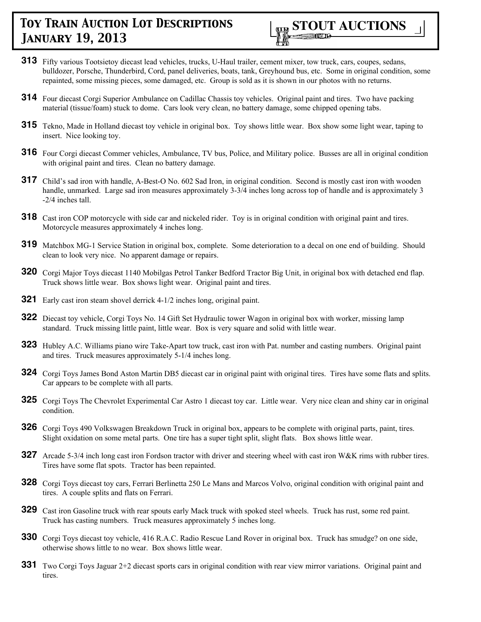

- **313** Fifty various Tootsietoy diecast lead vehicles, trucks, U-Haul trailer, cement mixer, tow truck, cars, coupes, sedans, bulldozer, Porsche, Thunderbird, Cord, panel deliveries, boats, tank, Greyhound bus, etc. Some in original condition, some repainted, some missing pieces, some damaged, etc. Group is sold as it is shown in our photos with no returns.
- **314** Four diecast Corgi Superior Ambulance on Cadillac Chassis toy vehicles. Original paint and tires. Two have packing material (tissue/foam) stuck to dome. Cars look very clean, no battery damage, some chipped opening tabs.
- **315** Tekno, Made in Holland diecast toy vehicle in original box. Toy shows little wear. Box show some light wear, taping to insert. Nice looking toy.
- **316** Four Corgi diecast Commer vehicles, Ambulance, TV bus, Police, and Military police. Busses are all in original condition with original paint and tires. Clean no battery damage.
- **317** Child's sad iron with handle, A-Best-O No. 602 Sad Iron, in original condition. Second is mostly cast iron with wooden handle, unmarked. Large sad iron measures approximately 3-3/4 inches long across top of handle and is approximately 3 -2/4 inches tall.
- **318** Cast iron COP motorcycle with side car and nickeled rider. Toy is in original condition with original paint and tires. Motorcycle measures approximately 4 inches long.
- **319** Matchbox MG-1 Service Station in original box, complete. Some deterioration to a decal on one end of building. Should clean to look very nice. No apparent damage or repairs.
- **320** Corgi Major Toys diecast 1140 Mobilgas Petrol Tanker Bedford Tractor Big Unit, in original box with detached end flap. Truck shows little wear. Box shows light wear. Original paint and tires.
- **321** Early cast iron steam shovel derrick 4-1/2 inches long, original paint.
- **322** Diecast toy vehicle, Corgi Toys No. 14 Gift Set Hydraulic tower Wagon in original box with worker, missing lamp standard. Truck missing little paint, little wear. Box is very square and solid with little wear.
- **323** Hubley A.C. Williams piano wire Take-Apart tow truck, cast iron with Pat. number and casting numbers. Original paint and tires. Truck measures approximately 5-1/4 inches long.
- **324** Corgi Toys James Bond Aston Martin DB5 diecast car in original paint with original tires. Tires have some flats and splits. Car appears to be complete with all parts.
- **325** Corgi Toys The Chevrolet Experimental Car Astro 1 diecast toy car. Little wear. Very nice clean and shiny car in original condition.
- **326** Corgi Toys 490 Volkswagen Breakdown Truck in original box, appears to be complete with original parts, paint, tires. Slight oxidation on some metal parts. One tire has a super tight split, slight flats. Box shows little wear.
- **327** Arcade 5-3/4 inch long cast iron Fordson tractor with driver and steering wheel with cast iron W&K rims with rubber tires. Tires have some flat spots. Tractor has been repainted.
- **328** Corgi Toys diecast toy cars, Ferrari Berlinetta 250 Le Mans and Marcos Volvo, original condition with original paint and tires. A couple splits and flats on Ferrari.
- **329** Cast iron Gasoline truck with rear spouts early Mack truck with spoked steel wheels. Truck has rust, some red paint. Truck has casting numbers. Truck measures approximately 5 inches long.
- **330** Corgi Toys diecast toy vehicle, 416 R.A.C. Radio Rescue Land Rover in original box. Truck has smudge? on one side, otherwise shows little to no wear. Box shows little wear.
- **331** Two Corgi Toys Jaguar 2+2 diecast sports cars in original condition with rear view mirror variations. Original paint and tires.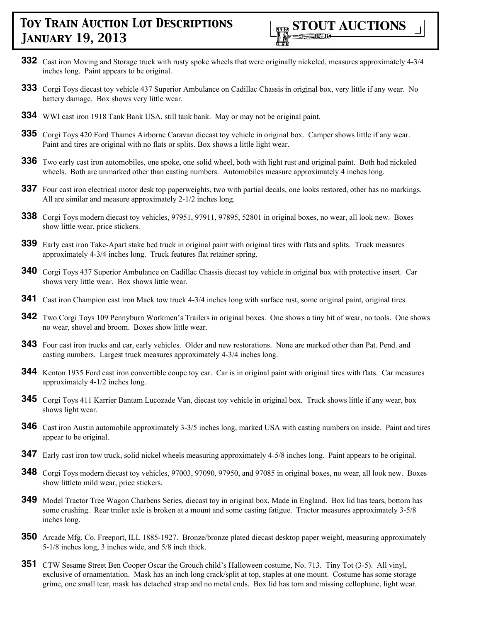

- **332** Cast iron Moving and Storage truck with rusty spoke wheels that were originally nickeled, measures approximately 4-3/4 inches long. Paint appears to be original.
- **333** Corgi Toys diecast toy vehicle 437 Superior Ambulance on Cadillac Chassis in original box, very little if any wear. No battery damage. Box shows very little wear.
- **334** WWI cast iron 1918 Tank Bank USA, still tank bank. May or may not be original paint.
- **335** Corgi Toys 420 Ford Thames Airborne Caravan diecast toy vehicle in original box. Camper shows little if any wear. Paint and tires are original with no flats or splits. Box shows a little light wear.
- **336** Two early cast iron automobiles, one spoke, one solid wheel, both with light rust and original paint. Both had nickeled wheels. Both are unmarked other than casting numbers. Automobiles measure approximately 4 inches long.
- **337** Four cast iron electrical motor desk top paperweights, two with partial decals, one looks restored, other has no markings. All are similar and measure approximately 2-1/2 inches long.
- **338** Corgi Toys modern diecast toy vehicles, 97951, 97911, 97895, 52801 in original boxes, no wear, all look new. Boxes show little wear, price stickers.
- **339** Early cast iron Take-Apart stake bed truck in original paint with original tires with flats and splits. Truck measures approximately 4-3/4 inches long. Truck features flat retainer spring.
- **340** Corgi Toys 437 Superior Ambulance on Cadillac Chassis diecast toy vehicle in original box with protective insert. Car shows very little wear. Box shows little wear.
- **341** Cast iron Champion cast iron Mack tow truck 4-3/4 inches long with surface rust, some original paint, original tires.
- **342** Two Corgi Toys 109 Pennyburn Workmen's Trailers in original boxes. One shows a tiny bit of wear, no tools. One shows no wear, shovel and broom. Boxes show little wear.
- **343** Four cast iron trucks and car, early vehicles. Older and new restorations. None are marked other than Pat. Pend. and casting numbers. Largest truck measures approximately 4-3/4 inches long.
- **344** Kenton 1935 Ford cast iron convertible coupe toy car. Car is in original paint with original tires with flats. Car measures approximately 4-1/2 inches long.
- **345** Corgi Toys 411 Karrier Bantam Lucozade Van, diecast toy vehicle in original box. Truck shows little if any wear, box shows light wear.
- **346** Cast iron Austin automobile approximately 3-3/5 inches long, marked USA with casting numbers on inside. Paint and tires appear to be original.
- **347** Early cast iron tow truck, solid nickel wheels measuring approximately 4-5/8 inches long. Paint appears to be original.
- **348** Corgi Toys modern diecast toy vehicles, 97003, 97090, 97950, and 97085 in original boxes, no wear, all look new. Boxes show littleto mild wear, price stickers.
- **349** Model Tractor Tree Wagon Charbens Series, diecast toy in original box, Made in England. Box lid has tears, bottom has some crushing. Rear trailer axle is broken at a mount and some casting fatigue. Tractor measures approximately 3-5/8 inches long.
- **350** Arcade Mfg. Co. Freeport, ILL 1885-1927. Bronze/bronze plated diecast desktop paper weight, measuring approximately 5-1/8 inches long, 3 inches wide, and 5/8 inch thick.
- **351** CTW Sesame Street Ben Cooper Oscar the Grouch child's Halloween costume, No. 713. Tiny Tot (3-5). All vinyl, exclusive of ornamentation. Mask has an inch long crack/split at top, staples at one mount. Costume has some storage grime, one small tear, mask has detached strap and no metal ends. Box lid has torn and missing cellophane, light wear.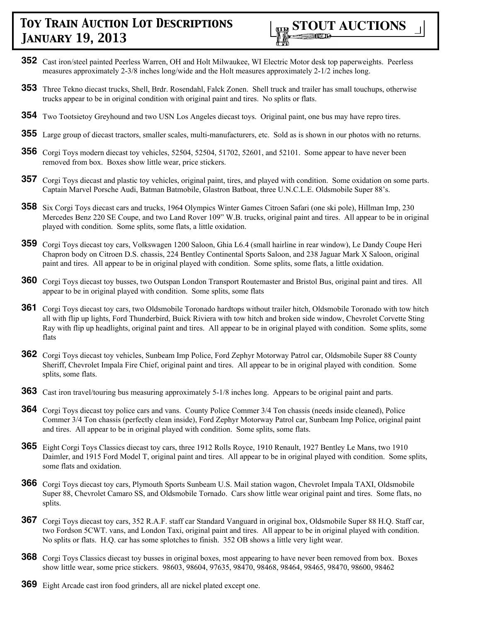

- **352** Cast iron/steel painted Peerless Warren, OH and Holt Milwaukee, WI Electric Motor desk top paperweights. Peerless measures approximately 2-3/8 inches long/wide and the Holt measures approximately 2-1/2 inches long.
- **353** Three Tekno diecast trucks, Shell, Brdr. Rosendahl, Falck Zonen. Shell truck and trailer has small touchups, otherwise trucks appear to be in original condition with original paint and tires. No splits or flats.
- **354** Two Tootsietoy Greyhound and two USN Los Angeles diecast toys. Original paint, one bus may have repro tires.
- **355** Large group of diecast tractors, smaller scales, multi-manufacturers, etc. Sold as is shown in our photos with no returns.
- **356** Corgi Toys modern diecast toy vehicles, 52504, 52504, 51702, 52601, and 52101. Some appear to have never been removed from box. Boxes show little wear, price stickers.
- **357** Corgi Toys diecast and plastic toy vehicles, original paint, tires, and played with condition. Some oxidation on some parts. Captain Marvel Porsche Audi, Batman Batmobile, Glastron Batboat, three U.N.C.L.E. Oldsmobile Super 88's.
- **358** Six Corgi Toys diecast cars and trucks, 1964 Olympics Winter Games Citroen Safari (one ski pole), Hillman Imp, 230 Mercedes Benz 220 SE Coupe, and two Land Rover 109" W.B. trucks, original paint and tires. All appear to be in original played with condition. Some splits, some flats, a little oxidation.
- **359** Corgi Toys diecast toy cars, Volkswagen 1200 Saloon, Ghia L6.4 (small hairline in rear window), Le Dandy Coupe Heri Chapron body on Citroen D.S. chassis, 224 Bentley Continental Sports Saloon, and 238 Jaguar Mark X Saloon, original paint and tires. All appear to be in original played with condition. Some splits, some flats, a little oxidation.
- **360** Corgi Toys diecast toy busses, two Outspan London Transport Routemaster and Bristol Bus, original paint and tires. All appear to be in original played with condition. Some splits, some flats
- **361** Corgi Toys diecast toy cars, two Oldsmobile Toronado hardtops without trailer hitch, Oldsmobile Toronado with tow hitch all with flip up lights, Ford Thunderbird, Buick Riviera with tow hitch and broken side window, Chevrolet Corvette Sting Ray with flip up headlights, original paint and tires. All appear to be in original played with condition. Some splits, some flats
- **362** Corgi Toys diecast toy vehicles, Sunbeam Imp Police, Ford Zephyr Motorway Patrol car, Oldsmobile Super 88 County Sheriff, Chevrolet Impala Fire Chief, original paint and tires. All appear to be in original played with condition. Some splits, some flats.
- **363** Cast iron travel/touring bus measuring approximately 5-1/8 inches long. Appears to be original paint and parts.
- **364** Corgi Toys diecast toy police cars and vans. County Police Commer 3/4 Ton chassis (needs inside cleaned), Police Commer 3/4 Ton chassis (perfectly clean inside), Ford Zephyr Motorway Patrol car, Sunbeam Imp Police, original paint and tires. All appear to be in original played with condition. Some splits, some flats.
- **365** Eight Corgi Toys Classics diecast toy cars, three 1912 Rolls Royce, 1910 Renault, 1927 Bentley Le Mans, two 1910 Daimler, and 1915 Ford Model T, original paint and tires. All appear to be in original played with condition. Some splits, some flats and oxidation.
- **366** Corgi Toys diecast toy cars, Plymouth Sports Sunbeam U.S. Mail station wagon, Chevrolet Impala TAXI, Oldsmobile Super 88, Chevrolet Camaro SS, and Oldsmobile Tornado. Cars show little wear original paint and tires. Some flats, no splits.
- **367** Corgi Toys diecast toy cars, 352 R.A.F. staff car Standard Vanguard in original box, Oldsmobile Super 88 H.Q. Staff car, two Fordson 5CWT. vans, and London Taxi, original paint and tires. All appear to be in original played with condition. No splits or flats. H.Q. car has some splotches to finish. 352 OB shows a little very light wear.
- **368** Corgi Toys Classics diecast toy busses in original boxes, most appearing to have never been removed from box. Boxes show little wear, some price stickers. 98603, 98604, 97635, 98470, 98468, 98464, 98465, 98470, 98600, 98462
- **369** Eight Arcade cast iron food grinders, all are nickel plated except one.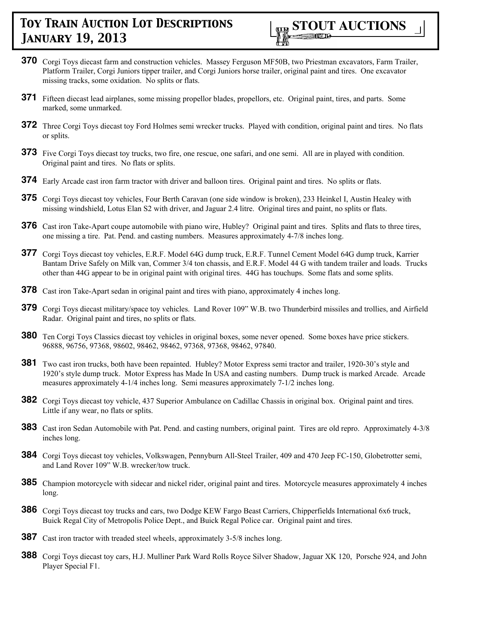

- **370** Corgi Toys diecast farm and construction vehicles. Massey Ferguson MF50B, two Priestman excavators, Farm Trailer, Platform Trailer, Corgi Juniors tipper trailer, and Corgi Juniors horse trailer, original paint and tires. One excavator missing tracks, some oxidation. No splits or flats.
- **371** Fifteen diecast lead airplanes, some missing propellor blades, propellors, etc. Original paint, tires, and parts. Some marked, some unmarked.
- **372** Three Corgi Toys diecast toy Ford Holmes semi wrecker trucks. Played with condition, original paint and tires. No flats or splits.
- **373** Five Corgi Toys diecast toy trucks, two fire, one rescue, one safari, and one semi. All are in played with condition. Original paint and tires. No flats or splits.
- **374** Early Arcade cast iron farm tractor with driver and balloon tires. Original paint and tires. No splits or flats.
- **375** Corgi Toys diecast toy vehicles, Four Berth Caravan (one side window is broken), 233 Heinkel I, Austin Healey with missing windshield, Lotus Elan S2 with driver, and Jaguar 2.4 litre. Original tires and paint, no splits or flats.
- **376** Cast iron Take-Apart coupe automobile with piano wire, Hubley? Original paint and tires. Splits and flats to three tires, one missing a tire. Pat. Pend. and casting numbers. Measures approximately 4-7/8 inches long.
- **377** Corgi Toys diecast toy vehicles, E.R.F. Model 64G dump truck, E.R.F. Tunnel Cement Model 64G dump truck, Karrier Bantam Drive Safely on Milk van, Commer 3/4 ton chassis, and E.R.F. Model 44 G with tandem trailer and loads. Trucks other than 44G appear to be in original paint with original tires. 44G has touchups. Some flats and some splits.
- **378** Cast iron Take-Apart sedan in original paint and tires with piano, approximately 4 inches long.
- **379** Corgi Toys diecast military/space toy vehicles. Land Rover 109" W.B. two Thunderbird missiles and trollies, and Airfield Radar. Original paint and tires, no splits or flats.
- **380** Ten Corgi Toys Classics diecast toy vehicles in original boxes, some never opened. Some boxes have price stickers. 96888, 96756, 97368, 98602, 98462, 98462, 97368, 97368, 98462, 97840.
- **381** Two cast iron trucks, both have been repainted. Hubley? Motor Express semi tractor and trailer, 1920-30's style and 1920's style dump truck. Motor Express has Made In USA and casting numbers. Dump truck is marked Arcade. Arcade measures approximately 4-1/4 inches long. Semi measures approximately 7-1/2 inches long.
- **382** Corgi Toys diecast toy vehicle, 437 Superior Ambulance on Cadillac Chassis in original box. Original paint and tires. Little if any wear, no flats or splits.
- **383** Cast iron Sedan Automobile with Pat. Pend. and casting numbers, original paint. Tires are old repro. Approximately 4-3/8 inches long.
- **384** Corgi Toys diecast toy vehicles, Volkswagen, Pennyburn All-Steel Trailer, 409 and 470 Jeep FC-150, Globetrotter semi, and Land Rover 109" W.B. wrecker/tow truck.
- **385** Champion motorcycle with sidecar and nickel rider, original paint and tires. Motorcycle measures approximately 4 inches long.
- **386** Corgi Toys diecast toy trucks and cars, two Dodge KEW Fargo Beast Carriers, Chipperfields International 6x6 truck, Buick Regal City of Metropolis Police Dept., and Buick Regal Police car. Original paint and tires.
- **387** Cast iron tractor with treaded steel wheels, approximately 3-5/8 inches long.
- **388** Corgi Toys diecast toy cars, H.J. Mulliner Park Ward Rolls Royce Silver Shadow, Jaguar XK 120, Porsche 924, and John Player Special F1.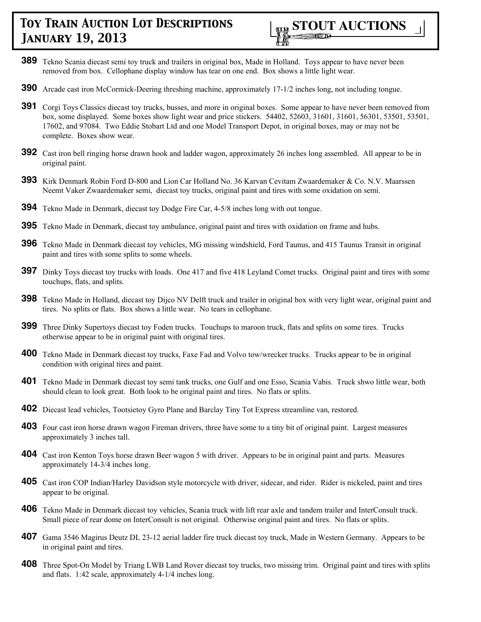

- **389** Tekno Scania diecast semi toy truck and trailers in original box, Made in Holland. Toys appear to have never been removed from box. Cellophane display window has tear on one end. Box shows a little light wear.
- **390** Arcade cast iron McCormick-Deering threshing machine, approximately 17-1/2 inches long, not including tongue.
- **391** Corgi Toys Classics diecast toy trucks, busses, and more in original boxes. Some appear to have never been removed from box, some displayed. Some boxes show light wear and price stickers. 54402, 52603, 31601, 31601, 56301, 53501, 53501, 17602, and 97084. Two Eddie Stobart Ltd and one Model Transport Depot, in original boxes, may or may not be complete. Boxes show wear.
- **392** Cast iron bell ringing horse drawn hook and ladder wagon, approximately 26 inches long assembled. All appear to be in original paint.
- **393** Kirk Denmark Robin Ford D-800 and Lion Car Holland No. 36 Karvan Cevitam Zwaardemaker & Co. N.V. Maarssen Neemt Vaker Zwaardemaker semi, diecast toy trucks, original paint and tires with some oxidation on semi.
- **394** Tekno Made in Denmark, diecast toy Dodge Fire Car, 4-5/8 inches long with out tongue.
- **395** Tekno Made in Denmark, diecast toy ambulance, original paint and tires with oxidation on frame and hubs.
- **396** Tekno Made in Denmark diecast toy vehicles, MG missing windshield, Ford Taunus, and 415 Taunus Transit in original paint and tires with some splits to some wheels.
- **397** Dinky Toys diecast toy trucks with loads. One 417 and five 418 Leyland Comet trucks. Original paint and tires with some touchups, flats, and splits.
- **398** Tekno Made in Holland, diecast toy Dijco NV Delft truck and trailer in original box with very light wear, original paint and tires. No splits or flats. Box shows a little wear. No tears in cellophane.
- **399** Three Dinky Supertoys diecast toy Foden trucks. Touchups to maroon truck, flats and splits on some tires. Trucks otherwise appear to be in original paint with original tires.
- **400** Tekno Made in Denmark diecast toy trucks, Faxe Fad and Volvo tow/wrecker trucks. Trucks appear to be in original condition with original tires and paint.
- **401** Tekno Made in Denmark diecast toy semi tank trucks, one Gulf and one Esso, Scania Vabis. Truck shwo little wear, both should clean to look great. Both look to be original paint and tires. No flats or splits.
- **402** Diecast lead vehicles, Tootsietoy Gyro Plane and Barclay Tiny Tot Express streamline van, restored.
- **403** Four cast iron horse drawn wagon Fireman drivers, three have some to a tiny bit of original paint. Largest measures approximately 3 inches tall.
- **404** Cast iron Kenton Toys horse drawn Beer wagon 5 with driver. Appears to be in original paint and parts. Measures approximately 14-3/4 inches long.
- **405** Cast iron COP Indian/Harley Davidson style motorcycle with driver, sidecar, and rider. Rider is nickeled, paint and tires appear to be original.
- **406** Tekno Made in Denmark diecast toy vehicles, Scania truck with lift rear axle and tandem trailer and InterConsult truck. Small piece of rear dome on InterConsult is not original. Otherwise original paint and tires. No flats or splits.
- **407** Gama 3546 Magirus Deutz DL 23-12 aerial ladder fire truck diecast toy truck, Made in Western Germany. Appears to be in original paint and tires.
- **408** Three Spot-On Model by Triang LWB Land Rover diecast toy trucks, two missing trim. Original paint and tires with splits and flats. 1:42 scale, approximately 4-1/4 inches long.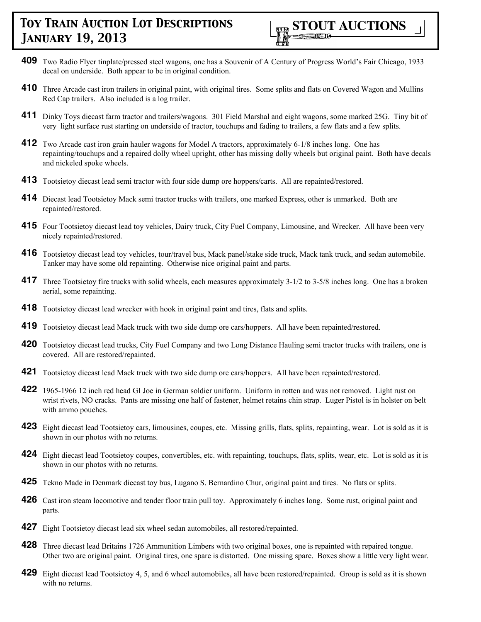- **409** Two Radio Flyer tinplate/pressed steel wagons, one has a Souvenir of A Century of Progress World's Fair Chicago, 1933 decal on underside. Both appear to be in original condition.
- **410** Three Arcade cast iron trailers in original paint, with original tires. Some splits and flats on Covered Wagon and Mullins Red Cap trailers. Also included is a log trailer.
- **411** Dinky Toys diecast farm tractor and trailers/wagons. 301 Field Marshal and eight wagons, some marked 25G. Tiny bit of very light surface rust starting on underside of tractor, touchups and fading to trailers, a few flats and a few splits.
- **412** Two Arcade cast iron grain hauler wagons for Model A tractors, approximately 6-1/8 inches long. One has repainting/touchups and a repaired dolly wheel upright, other has missing dolly wheels but original paint. Both have decals and nickeled spoke wheels.
- **413** Tootsietoy diecast lead semi tractor with four side dump ore hoppers/carts. All are repainted/restored.
- **414** Diecast lead Tootsietoy Mack semi tractor trucks with trailers, one marked Express, other is unmarked. Both are repainted/restored.
- **415** Four Tootsietoy diecast lead toy vehicles, Dairy truck, City Fuel Company, Limousine, and Wrecker. All have been very nicely repainted/restored.
- **416** Tootsietoy diecast lead toy vehicles, tour/travel bus, Mack panel/stake side truck, Mack tank truck, and sedan automobile. Tanker may have some old repainting. Otherwise nice original paint and parts.
- **417** Three Tootsietoy fire trucks with solid wheels, each measures approximately 3-1/2 to 3-5/8 inches long. One has a broken aerial, some repainting.
- **418** Tootsietoy diecast lead wrecker with hook in original paint and tires, flats and splits.
- **419** Tootsietoy diecast lead Mack truck with two side dump ore cars/hoppers. All have been repainted/restored.
- **420** Tootsietoy diecast lead trucks, City Fuel Company and two Long Distance Hauling semi tractor trucks with trailers, one is covered. All are restored/repainted.
- **421** Tootsietoy diecast lead Mack truck with two side dump ore cars/hoppers. All have been repainted/restored.
- **422** 1965-1966 12 inch red head GI Joe in German soldier uniform. Uniform in rotten and was not removed. Light rust on wrist rivets, NO cracks. Pants are missing one half of fastener, helmet retains chin strap. Luger Pistol is in holster on belt with ammo pouches.
- **423** Eight diecast lead Tootsietoy cars, limousines, coupes, etc. Missing grills, flats, splits, repainting, wear. Lot is sold as it is shown in our photos with no returns.
- **424** Eight diecast lead Tootsietoy coupes, convertibles, etc. with repainting, touchups, flats, splits, wear, etc. Lot is sold as it is shown in our photos with no returns.
- **425** Tekno Made in Denmark diecast toy bus, Lugano S. Bernardino Chur, original paint and tires. No flats or splits.
- **426** Cast iron steam locomotive and tender floor train pull toy. Approximately 6 inches long. Some rust, original paint and parts.
- **427** Eight Tootsietoy diecast lead six wheel sedan automobiles, all restored/repainted.
- **428** Three diecast lead Britains 1726 Ammunition Limbers with two original boxes, one is repainted with repaired tongue. Other two are original paint. Original tires, one spare is distorted. One missing spare. Boxes show a little very light wear.
- **429** Eight diecast lead Tootsietoy 4, 5, and 6 wheel automobiles, all have been restored/repainted. Group is sold as it is shown with no returns.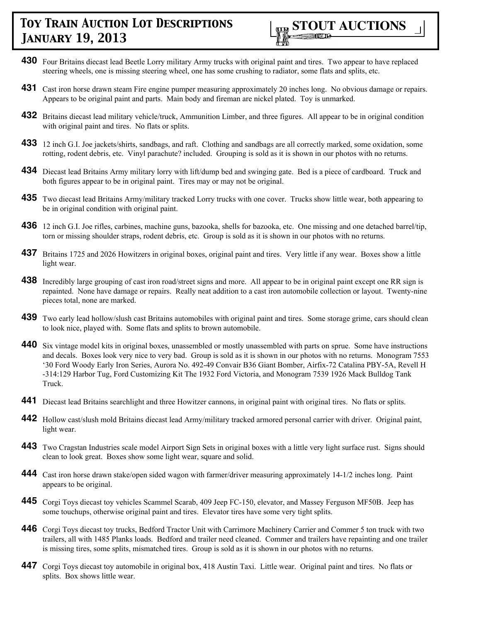

- **430** Four Britains diecast lead Beetle Lorry military Army trucks with original paint and tires. Two appear to have replaced steering wheels, one is missing steering wheel, one has some crushing to radiator, some flats and splits, etc.
- **431** Cast iron horse drawn steam Fire engine pumper measuring approximately 20 inches long. No obvious damage or repairs. Appears to be original paint and parts. Main body and fireman are nickel plated. Toy is unmarked.
- **432** Britains diecast lead military vehicle/truck, Ammunition Limber, and three figures. All appear to be in original condition with original paint and tires. No flats or splits.
- **433** 12 inch G.I. Joe jackets/shirts, sandbags, and raft. Clothing and sandbags are all correctly marked, some oxidation, some rotting, rodent debris, etc. Vinyl parachute? included. Grouping is sold as it is shown in our photos with no returns.
- **434** Diecast lead Britains Army military lorry with lift/dump bed and swinging gate. Bed is a piece of cardboard. Truck and both figures appear to be in original paint. Tires may or may not be original.
- **435** Two diecast lead Britains Army/military tracked Lorry trucks with one cover. Trucks show little wear, both appearing to be in original condition with original paint.
- **436** 12 inch G.I. Joe rifles, carbines, machine guns, bazooka, shells for bazooka, etc. One missing and one detached barrel/tip, torn or missing shoulder straps, rodent debris, etc. Group is sold as it is shown in our photos with no returns.
- **437** Britains 1725 and 2026 Howitzers in original boxes, original paint and tires. Very little if any wear. Boxes show a little light wear.
- **438** Incredibly large grouping of cast iron road/street signs and more. All appear to be in original paint except one RR sign is repainted. None have damage or repairs. Really neat addition to a cast iron automobile collection or layout. Twenty-nine pieces total, none are marked.
- **439** Two early lead hollow/slush cast Britains automobiles with original paint and tires. Some storage grime, cars should clean to look nice, played with. Some flats and splits to brown automobile.
- **440** Six vintage model kits in original boxes, unassembled or mostly unassembled with parts on sprue. Some have instructions and decals. Boxes look very nice to very bad. Group is sold as it is shown in our photos with no returns. Monogram 7553 '30 Ford Woody Early Iron Series, Aurora No. 492-49 Convair B36 Giant Bomber, Airfix-72 Catalina PBY-5A, Revell H -314:129 Harbor Tug, Ford Customizing Kit The 1932 Ford Victoria, and Monogram 7539 1926 Mack Bulldog Tank Truck.
- **441** Diecast lead Britains searchlight and three Howitzer cannons, in original paint with original tires. No flats or splits.
- **442** Hollow cast/slush mold Britains diecast lead Army/military tracked armored personal carrier with driver. Original paint, light wear.
- **443** Two Cragstan Industries scale model Airport Sign Sets in original boxes with a little very light surface rust. Signs should clean to look great. Boxes show some light wear, square and solid.
- **444** Cast iron horse drawn stake/open sided wagon with farmer/driver measuring approximately 14-1/2 inches long. Paint appears to be original.
- **445** Corgi Toys diecast toy vehicles Scammel Scarab, 409 Jeep FC-150, elevator, and Massey Ferguson MF50B. Jeep has some touchups, otherwise original paint and tires. Elevator tires have some very tight splits.
- **446** Corgi Toys diecast toy trucks, Bedford Tractor Unit with Carrimore Machinery Carrier and Commer 5 ton truck with two trailers, all with 1485 Planks loads. Bedford and trailer need cleaned. Commer and trailers have repainting and one trailer is missing tires, some splits, mismatched tires. Group is sold as it is shown in our photos with no returns.
- **447** Corgi Toys diecast toy automobile in original box, 418 Austin Taxi. Little wear. Original paint and tires. No flats or splits. Box shows little wear.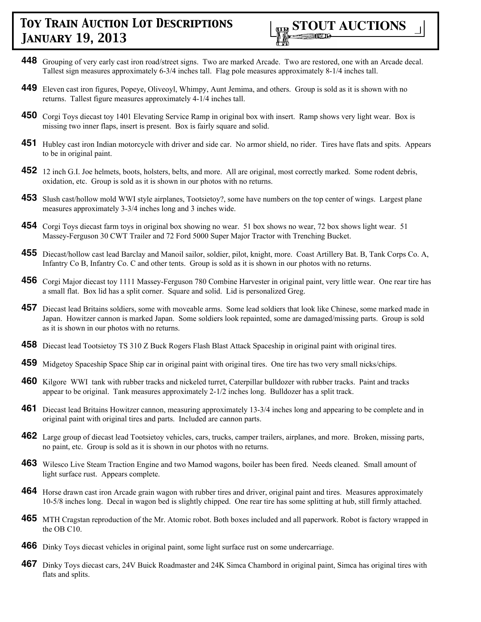

- **448** Grouping of very early cast iron road/street signs. Two are marked Arcade. Two are restored, one with an Arcade decal. Tallest sign measures approximately 6-3/4 inches tall. Flag pole measures approximately 8-1/4 inches tall.
- **449** Eleven cast iron figures, Popeye, Oliveoyl, Whimpy, Aunt Jemima, and others. Group is sold as it is shown with no returns. Tallest figure measures approximately 4-1/4 inches tall.
- **450** Corgi Toys diecast toy 1401 Elevating Service Ramp in original box with insert. Ramp shows very light wear. Box is missing two inner flaps, insert is present. Box is fairly square and solid.
- **451** Hubley cast iron Indian motorcycle with driver and side car. No armor shield, no rider. Tires have flats and spits. Appears to be in original paint.
- **452** 12 inch G.I. Joe helmets, boots, holsters, belts, and more. All are original, most correctly marked. Some rodent debris, oxidation, etc. Group is sold as it is shown in our photos with no returns.
- **453** Slush cast/hollow mold WWI style airplanes, Tootsietoy?, some have numbers on the top center of wings. Largest plane measures approximately 3-3/4 inches long and 3 inches wide.
- **454** Corgi Toys diecast farm toys in original box showing no wear. 51 box shows no wear, 72 box shows light wear. 51 Massey-Ferguson 30 CWT Trailer and 72 Ford 5000 Super Major Tractor with Trenching Bucket.
- **455** Diecast/hollow cast lead Barclay and Manoil sailor, soldier, pilot, knight, more. Coast Artillery Bat. B, Tank Corps Co. A, Infantry Co B, Infantry Co. C and other tents. Group is sold as it is shown in our photos with no returns.
- **456** Corgi Major diecast toy 1111 Massey-Ferguson 780 Combine Harvester in original paint, very little wear. One rear tire has a small flat. Box lid has a split corner. Square and solid. Lid is personalized Greg.
- **457** Diecast lead Britains soldiers, some with moveable arms. Some lead soldiers that look like Chinese, some marked made in Japan. Howitzer cannon is marked Japan. Some soldiers look repainted, some are damaged/missing parts. Group is sold as it is shown in our photos with no returns.
- **458** Diecast lead Tootsietoy TS 310 Z Buck Rogers Flash Blast Attack Spaceship in original paint with original tires.
- **459** Midgetoy Spaceship Space Ship car in original paint with original tires. One tire has two very small nicks/chips.
- **460** Kilgore WWI tank with rubber tracks and nickeled turret, Caterpillar bulldozer with rubber tracks. Paint and tracks appear to be original. Tank measures approximately 2-1/2 inches long. Bulldozer has a split track.
- **461** Diecast lead Britains Howitzer cannon, measuring approximately 13-3/4 inches long and appearing to be complete and in original paint with original tires and parts. Included are cannon parts.
- **462** Large group of diecast lead Tootsietoy vehicles, cars, trucks, camper trailers, airplanes, and more. Broken, missing parts, no paint, etc. Group is sold as it is shown in our photos with no returns.
- **463** Wilesco Live Steam Traction Engine and two Mamod wagons, boiler has been fired. Needs cleaned. Small amount of light surface rust. Appears complete.
- **464** Horse drawn cast iron Arcade grain wagon with rubber tires and driver, original paint and tires. Measures approximately 10-5/8 inches long. Decal in wagon bed is slightly chipped. One rear tire has some splitting at hub, still firmly attached.
- **465** MTH Cragstan reproduction of the Mr. Atomic robot. Both boxes included and all paperwork. Robot is factory wrapped in the OB C10.
- **466** Dinky Toys diecast vehicles in original paint, some light surface rust on some undercarriage.
- **467** Dinky Toys diecast cars, 24V Buick Roadmaster and 24K Simca Chambord in original paint, Simca has original tires with flats and splits.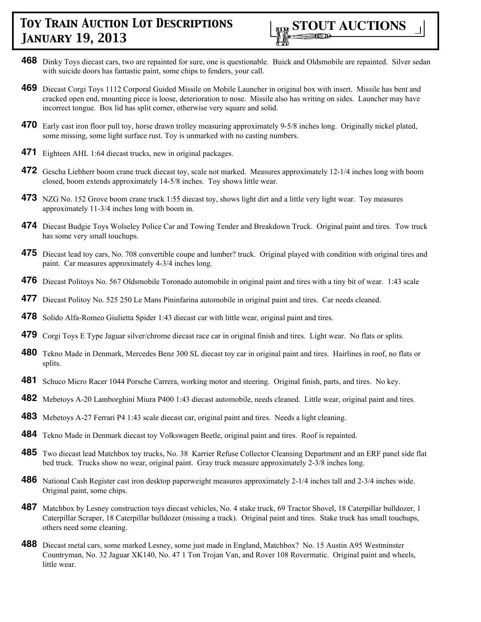

- **468** Dinky Toys diecast cars, two are repainted for sure, one is questionable. Buick and Oldsmobile are repainted. Silver sedan with suicide doors has fantastic paint, some chips to fenders, your call.
- **469** Diecast Corgi Toys 1112 Corporal Guided Missile on Mobile Launcher in original box with insert. Missile has bent and cracked open end, mounting piece is loose, deterioration to nose. Missile also has writing on sides. Launcher may have incorrect tongue. Box lid has split corner, otherwise very square and solid.
- **470** Early cast iron floor pull toy, horse drawn trolley measuring approximately 9-5/8 inches long. Originally nickel plated, some missing, some light surface rust. Toy is unmarked with no casting numbers.
- **471** Eighteen AHL 1:64 diecast trucks, new in original packages.
- **472** Gescha Liebherr boom crane truck diecast toy, scale not marked. Measures approximately 12-1/4 inches long with boom closed, boom extends approximately 14-5/8 inches. Toy shows little wear.
- **473** NZG No. 152 Grove boom crane truck 1:55 diecast toy, shows light dirt and a little very light wear. Toy measures approximately 11-3/4 inches long with boom in.
- **474** Diecast Budgie Toys Wolseley Police Car and Towing Tender and Breakdown Truck. Original paint and tires. Tow truck has some very small touchups.
- **475** Diecast lead toy cars, No. 708 convertible coupe and lumber? truck. Original played with condition with original tires and paint. Car measures approximately 4-3/4 inches long.
- **476** Diecast Politoys No. 567 Oldsmobile Toronado automobile in original paint and tires with a tiny bit of wear. 1:43 scale
- **477** Diecast Politoy No. 525 250 Le Mans Pininfarina automobile in original paint and tires. Car needs cleaned.
- **478** Solido Alfa-Romeo Giulietta Spider 1:43 diecast car with little wear, original paint and tires.
- **479** Corgi Toys E Type Jaguar silver/chrome diecast race car in original finish and tires. Light wear. No flats or splits.
- **480** Tekno Made in Denmark, Mercedes Benz 300 SL diecast toy car in original paint and tires. Hairlines in roof, no flats or splits.
- **481** Schuco Micro Racer 1044 Porsche Carrera, working motor and steering. Original finish, parts, and tires. No key.
- **482** Mebetoys A-20 Lamborghini Miura P400 1:43 diecast automobile, needs cleaned. Little wear, original paint and tires.
- **483** Mebetoys A-27 Ferrari P4 1:43 scale diecast car, original paint and tires. Needs a light cleaning.
- **484** Tekno Made in Denmark diecast toy Volkswagen Beetle, original paint and tires. Roof is repainted.
- **485** Two diecast lead Matchbox toy trucks, No. 38 Karrier Refuse Collector Cleansing Department and an ERF panel side flat bed truck. Trucks show no wear, original paint. Gray truck measure approximately 2-3/8 inches long.
- **486** National Cash Register cast iron desktop paperweight measures approximately 2-1/4 inches tall and 2-3/4 inches wide. Original paint, some chips.
- **487** Matchbox by Lesney construction toys diecast vehicles, No. 4 stake truck, 69 Tractor Shovel, 18 Caterpillar bulldozer, 1 Caterpillar Scraper, 18 Caterpillar bulldozer (missing a track). Original paint and tires. Stake truck has small touchups, others need some cleaning.
- **488** Diecast metal cars, some marked Lesney, some just made in England, Matchbox? No. 15 Austin A95 Westminster Countryman, No. 32 Jaguar XK140, No. 47 1 Ton Trojan Van, and Rover 108 Rovermatic. Original paint and wheels, little wear.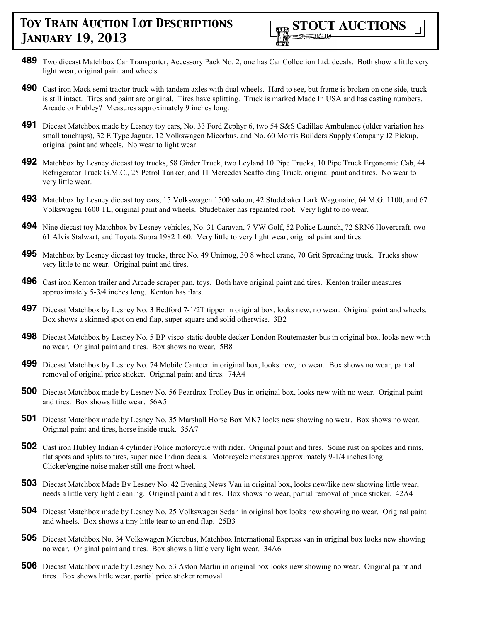

- **489** Two diecast Matchbox Car Transporter, Accessory Pack No. 2, one has Car Collection Ltd. decals. Both show a little very light wear, original paint and wheels.
- **490** Cast iron Mack semi tractor truck with tandem axles with dual wheels. Hard to see, but frame is broken on one side, truck is still intact. Tires and paint are original. Tires have splitting. Truck is marked Made In USA and has casting numbers. Arcade or Hubley? Measures approximately 9 inches long.
- **491** Diecast Matchbox made by Lesney toy cars, No. 33 Ford Zephyr 6, two 54 S&S Cadillac Ambulance (older variation has small touchups), 32 E Type Jaguar, 12 Volkswagen Micorbus, and No. 60 Morris Builders Supply Company J2 Pickup, original paint and wheels. No wear to light wear.
- **492** Matchbox by Lesney diecast toy trucks, 58 Girder Truck, two Leyland 10 Pipe Trucks, 10 Pipe Truck Ergonomic Cab, 44 Refrigerator Truck G.M.C., 25 Petrol Tanker, and 11 Mercedes Scaffolding Truck, original paint and tires. No wear to very little wear.
- **493** Matchbox by Lesney diecast toy cars, 15 Volkswagen 1500 saloon, 42 Studebaker Lark Wagonaire, 64 M.G. 1100, and 67 Volkswagen 1600 TL, original paint and wheels. Studebaker has repainted roof. Very light to no wear.
- **494** Nine diecast toy Matchbox by Lesney vehicles, No. 31 Caravan, 7 VW Golf, 52 Police Launch, 72 SRN6 Hovercraft, two 61 Alvis Stalwart, and Toyota Supra 1982 1:60. Very little to very light wear, original paint and tires.
- **495** Matchbox by Lesney diecast toy trucks, three No. 49 Unimog, 30 8 wheel crane, 70 Grit Spreading truck. Trucks show very little to no wear. Original paint and tires.
- **496** Cast iron Kenton trailer and Arcade scraper pan, toys. Both have original paint and tires. Kenton trailer measures approximately 5-3/4 inches long. Kenton has flats.
- **497** Diecast Matchbox by Lesney No. 3 Bedford 7-1/2T tipper in original box, looks new, no wear. Original paint and wheels. Box shows a skinned spot on end flap, super square and solid otherwise. 3B2
- **498** Diecast Matchbox by Lesney No. 5 BP visco-static double decker London Routemaster bus in original box, looks new with no wear. Original paint and tires. Box shows no wear. 5B8
- **499** Diecast Matchbox by Lesney No. 74 Mobile Canteen in original box, looks new, no wear. Box shows no wear, partial removal of original price sticker. Original paint and tires. 74A4
- **500** Diecast Matchbox made by Lesney No. 56 Peardrax Trolley Bus in original box, looks new with no wear. Original paint and tires. Box shows little wear. 56A5
- **501** Diecast Matchbox made by Lesney No. 35 Marshall Horse Box MK7 looks new showing no wear. Box shows no wear. Original paint and tires, horse inside truck. 35A7
- **502** Cast iron Hubley Indian 4 cylinder Police motorcycle with rider. Original paint and tires. Some rust on spokes and rims, flat spots and splits to tires, super nice Indian decals. Motorcycle measures approximately 9-1/4 inches long. Clicker/engine noise maker still one front wheel.
- **503** Diecast Matchbox Made By Lesney No. 42 Evening News Van in original box, looks new/like new showing little wear, needs a little very light cleaning. Original paint and tires. Box shows no wear, partial removal of price sticker. 42A4
- **504** Diecast Matchbox made by Lesney No. 25 Volkswagen Sedan in original box looks new showing no wear. Original paint and wheels. Box shows a tiny little tear to an end flap. 25B3
- **505** Diecast Matchbox No. 34 Volkswagen Microbus, Matchbox International Express van in original box looks new showing no wear. Original paint and tires. Box shows a little very light wear. 34A6
- **506** Diecast Matchbox made by Lesney No. 53 Aston Martin in original box looks new showing no wear. Original paint and tires. Box shows little wear, partial price sticker removal.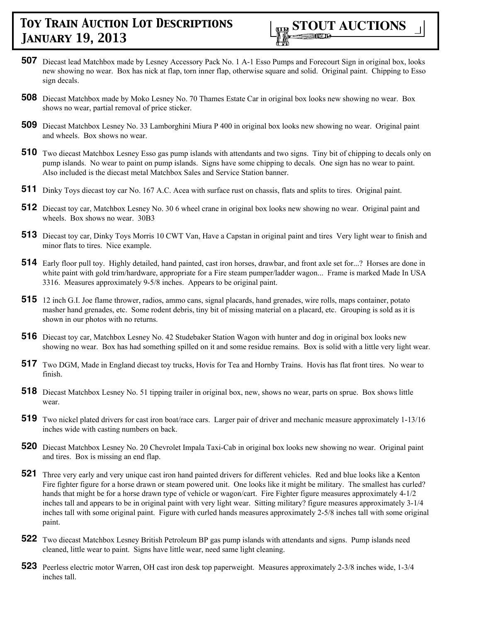

- **507** Diecast lead Matchbox made by Lesney Accessory Pack No. 1 A-1 Esso Pumps and Forecourt Sign in original box, looks new showing no wear. Box has nick at flap, torn inner flap, otherwise square and solid. Original paint. Chipping to Esso sign decals.
- **508** Diecast Matchbox made by Moko Lesney No. 70 Thames Estate Car in original box looks new showing no wear. Box shows no wear, partial removal of price sticker.
- **509** Diecast Matchbox Lesney No. 33 Lamborghini Miura P 400 in original box looks new showing no wear. Original paint and wheels. Box shows no wear.
- **510** Two diecast Matchbox Lesney Esso gas pump islands with attendants and two signs. Tiny bit of chipping to decals only on pump islands. No wear to paint on pump islands. Signs have some chipping to decals. One sign has no wear to paint. Also included is the diecast metal Matchbox Sales and Service Station banner.
- **511** Dinky Toys diecast toy car No. 167 A.C. Acea with surface rust on chassis, flats and splits to tires. Original paint.
- **512** Diecast toy car, Matchbox Lesney No. 30 6 wheel crane in original box looks new showing no wear. Original paint and wheels. Box shows no wear. 30B3
- **513** Diecast toy car, Dinky Toys Morris 10 CWT Van, Have a Capstan in original paint and tires Very light wear to finish and minor flats to tires. Nice example.
- **514** Early floor pull toy. Highly detailed, hand painted, cast iron horses, drawbar, and front axle set for...? Horses are done in white paint with gold trim/hardware, appropriate for a Fire steam pumper/ladder wagon... Frame is marked Made In USA 3316. Measures approximately 9-5/8 inches. Appears to be original paint.
- **515** 12 inch G.I. Joe flame thrower, radios, ammo cans, signal placards, hand grenades, wire rolls, maps container, potato masher hand grenades, etc. Some rodent debris, tiny bit of missing material on a placard, etc. Grouping is sold as it is shown in our photos with no returns.
- **516** Diecast toy car, Matchbox Lesney No. 42 Studebaker Station Wagon with hunter and dog in original box looks new showing no wear. Box has had something spilled on it and some residue remains. Box is solid with a little very light wear.
- **517** Two DGM, Made in England diecast toy trucks, Hovis for Tea and Hornby Trains. Hovis has flat front tires. No wear to finish.
- **518** Diecast Matchbox Lesney No. 51 tipping trailer in original box, new, shows no wear, parts on sprue. Box shows little wear.
- **519** Two nickel plated drivers for cast iron boat/race cars. Larger pair of driver and mechanic measure approximately 1-13/16 inches wide with casting numbers on back.
- **520** Diecast Matchbox Lesney No. 20 Chevrolet Impala Taxi-Cab in original box looks new showing no wear. Original paint and tires. Box is missing an end flap.
- **521** Three very early and very unique cast iron hand painted drivers for different vehicles. Red and blue looks like a Kenton Fire fighter figure for a horse drawn or steam powered unit. One looks like it might be military. The smallest has curled? hands that might be for a horse drawn type of vehicle or wagon/cart. Fire Fighter figure measures approximately 4-1/2 inches tall and appears to be in original paint with very light wear. Sitting military? figure measures approximately 3-1/4 inches tall with some original paint. Figure with curled hands measures approximately 2-5/8 inches tall with some original paint.
- **522** Two diecast Matchbox Lesney British Petroleum BP gas pump islands with attendants and signs. Pump islands need cleaned, little wear to paint. Signs have little wear, need same light cleaning.
- **523** Peerless electric motor Warren, OH cast iron desk top paperweight. Measures approximately 2-3/8 inches wide, 1-3/4 inches tall.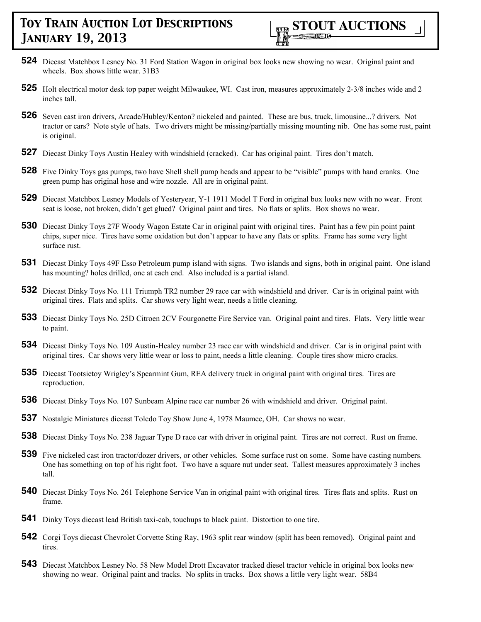

- **524** Diecast Matchbox Lesney No. 31 Ford Station Wagon in original box looks new showing no wear. Original paint and wheels. Box shows little wear. 31B3
- **525** Holt electrical motor desk top paper weight Milwaukee, WI. Cast iron, measures approximately 2-3/8 inches wide and 2 inches tall.
- **526** Seven cast iron drivers, Arcade/Hubley/Kenton? nickeled and painted. These are bus, truck, limousine...? drivers. Not tractor or cars? Note style of hats. Two drivers might be missing/partially missing mounting nib. One has some rust, paint is original.
- **527** Diecast Dinky Toys Austin Healey with windshield (cracked). Car has original paint. Tires don't match.
- **528** Five Dinky Toys gas pumps, two have Shell shell pump heads and appear to be "visible" pumps with hand cranks. One green pump has original hose and wire nozzle. All are in original paint.
- **529** Diecast Matchbox Lesney Models of Yesteryear, Y-1 1911 Model T Ford in original box looks new with no wear. Front seat is loose, not broken, didn't get glued? Original paint and tires. No flats or splits. Box shows no wear.
- **530** Diecast Dinky Toys 27F Woody Wagon Estate Car in original paint with original tires. Paint has a few pin point paint chips, super nice. Tires have some oxidation but don't appear to have any flats or splits. Frame has some very light surface rust.
- **531** Diecast Dinky Toys 49F Esso Petroleum pump island with signs. Two islands and signs, both in original paint. One island has mounting? holes drilled, one at each end. Also included is a partial island.
- **532** Diecast Dinky Toys No. 111 Triumph TR2 number 29 race car with windshield and driver. Car is in original paint with original tires. Flats and splits. Car shows very light wear, needs a little cleaning.
- **533** Diecast Dinky Toys No. 25D Citroen 2CV Fourgonette Fire Service van. Original paint and tires. Flats. Very little wear to paint.
- **534** Diecast Dinky Toys No. 109 Austin-Healey number 23 race car with windshield and driver. Car is in original paint with original tires. Car shows very little wear or loss to paint, needs a little cleaning. Couple tires show micro cracks.
- **535** Diecast Tootsietoy Wrigley's Spearmint Gum, REA delivery truck in original paint with original tires. Tires are reproduction.
- **536** Diecast Dinky Toys No. 107 Sunbeam Alpine race car number 26 with windshield and driver. Original paint.
- **537** Nostalgic Miniatures diecast Toledo Toy Show June 4, 1978 Maumee, OH. Car shows no wear.
- **538** Diecast Dinky Toys No. 238 Jaguar Type D race car with driver in original paint. Tires are not correct. Rust on frame.
- **539** Five nickeled cast iron tractor/dozer drivers, or other vehicles. Some surface rust on some. Some have casting numbers. One has something on top of his right foot. Two have a square nut under seat. Tallest measures approximately 3 inches tall.
- **540** Diecast Dinky Toys No. 261 Telephone Service Van in original paint with original tires. Tires flats and splits. Rust on frame.
- **541** Dinky Toys diecast lead British taxi-cab, touchups to black paint. Distortion to one tire.
- **542** Corgi Toys diecast Chevrolet Corvette Sting Ray, 1963 split rear window (split has been removed). Original paint and tires.
- **543** Diecast Matchbox Lesney No. 58 New Model Drott Excavator tracked diesel tractor vehicle in original box looks new showing no wear. Original paint and tracks. No splits in tracks. Box shows a little very light wear. 58B4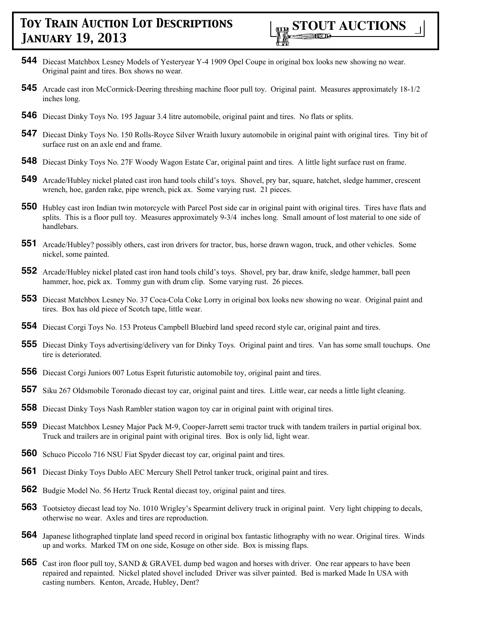

- **544** Diecast Matchbox Lesney Models of Yesteryear Y-4 1909 Opel Coupe in original box looks new showing no wear. Original paint and tires. Box shows no wear.
- **545** Arcade cast iron McCormick-Deering threshing machine floor pull toy. Original paint. Measures approximately 18-1/2 inches long.
- **546** Diecast Dinky Toys No. 195 Jaguar 3.4 litre automobile, original paint and tires. No flats or splits.
- **547** Diecast Dinky Toys No. 150 Rolls-Royce Silver Wraith luxury automobile in original paint with original tires. Tiny bit of surface rust on an axle end and frame.
- **548** Diecast Dinky Toys No. 27F Woody Wagon Estate Car, original paint and tires. A little light surface rust on frame.
- **549** Arcade/Hubley nickel plated cast iron hand tools child's toys. Shovel, pry bar, square, hatchet, sledge hammer, crescent wrench, hoe, garden rake, pipe wrench, pick ax. Some varying rust. 21 pieces.
- **550** Hubley cast iron Indian twin motorcycle with Parcel Post side car in original paint with original tires. Tires have flats and splits. This is a floor pull toy. Measures approximately 9-3/4 inches long. Small amount of lost material to one side of handlebars.
- **551** Arcade/Hubley? possibly others, cast iron drivers for tractor, bus, horse drawn wagon, truck, and other vehicles. Some nickel, some painted.
- **552** Arcade/Hubley nickel plated cast iron hand tools child's toys. Shovel, pry bar, draw knife, sledge hammer, ball peen hammer, hoe, pick ax. Tommy gun with drum clip. Some varying rust. 26 pieces.
- **553** Diecast Matchbox Lesney No. 37 Coca-Cola Coke Lorry in original box looks new showing no wear. Original paint and tires. Box has old piece of Scotch tape, little wear.
- **554** Diecast Corgi Toys No. 153 Proteus Campbell Bluebird land speed record style car, original paint and tires.
- **555** Diecast Dinky Toys advertising/delivery van for Dinky Toys. Original paint and tires. Van has some small touchups. One tire is deteriorated.
- **556** Diecast Corgi Juniors 007 Lotus Esprit futuristic automobile toy, original paint and tires.
- **557** Siku 267 Oldsmobile Toronado diecast toy car, original paint and tires. Little wear, car needs a little light cleaning.
- **558** Diecast Dinky Toys Nash Rambler station wagon toy car in original paint with original tires.
- **559** Diecast Matchbox Lesney Major Pack M-9, Cooper-Jarrett semi tractor truck with tandem trailers in partial original box. Truck and trailers are in original paint with original tires. Box is only lid, light wear.
- **560** Schuco Piccolo 716 NSU Fiat Spyder diecast toy car, original paint and tires.
- **561** Diecast Dinky Toys Dublo AEC Mercury Shell Petrol tanker truck, original paint and tires.
- **562** Budgie Model No. 56 Hertz Truck Rental diecast toy, original paint and tires.
- **563** Tootsietoy diecast lead toy No. 1010 Wrigley's Spearmint delivery truck in original paint. Very light chipping to decals, otherwise no wear. Axles and tires are reproduction.
- **564** Japanese lithographed tinplate land speed record in original box fantastic lithography with no wear. Original tires. Winds up and works. Marked TM on one side, Kosuge on other side. Box is missing flaps.
- **565** Cast iron floor pull toy, SAND & GRAVEL dump bed wagon and horses with driver. One rear appears to have been repaired and repainted. Nickel plated shovel included Driver was silver painted. Bed is marked Made In USA with casting numbers. Kenton, Arcade, Hubley, Dent?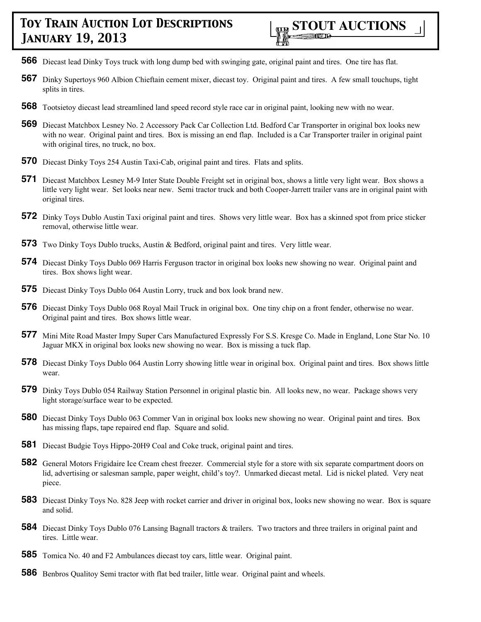- **566** Diecast lead Dinky Toys truck with long dump bed with swinging gate, original paint and tires. One tire has flat.
- **567** Dinky Supertoys 960 Albion Chieftain cement mixer, diecast toy. Original paint and tires. A few small touchups, tight splits in tires.
- **568** Tootsietoy diecast lead streamlined land speed record style race car in original paint, looking new with no wear.
- **569** Diecast Matchbox Lesney No. 2 Accessory Pack Car Collection Ltd. Bedford Car Transporter in original box looks new with no wear. Original paint and tires. Box is missing an end flap. Included is a Car Transporter trailer in original paint with original tires, no truck, no box.
- **570** Diecast Dinky Toys 254 Austin Taxi-Cab, original paint and tires. Flats and splits.
- **571** Diecast Matchbox Lesney M-9 Inter State Double Freight set in original box, shows a little very light wear. Box shows a little very light wear. Set looks near new. Semi tractor truck and both Cooper-Jarrett trailer vans are in original paint with original tires.
- **572** Dinky Toys Dublo Austin Taxi original paint and tires. Shows very little wear. Box has a skinned spot from price sticker removal, otherwise little wear.
- **573** Two Dinky Toys Dublo trucks, Austin & Bedford, original paint and tires. Very little wear.
- **574** Diecast Dinky Toys Dublo 069 Harris Ferguson tractor in original box looks new showing no wear. Original paint and tires. Box shows light wear.
- **575** Diecast Dinky Toys Dublo 064 Austin Lorry, truck and box look brand new.
- **576** Diecast Dinky Toys Dublo 068 Royal Mail Truck in original box. One tiny chip on a front fender, otherwise no wear. Original paint and tires. Box shows little wear.
- **577** Mini Mite Road Master Impy Super Cars Manufactured Expressly For S.S. Kresge Co. Made in England, Lone Star No. 10 Jaguar MKX in original box looks new showing no wear. Box is missing a tuck flap.
- **578** Diecast Dinky Toys Dublo 064 Austin Lorry showing little wear in original box. Original paint and tires. Box shows little wear.
- **579** Dinky Toys Dublo 054 Railway Station Personnel in original plastic bin. All looks new, no wear. Package shows very light storage/surface wear to be expected.
- **580** Diecast Dinky Toys Dublo 063 Commer Van in original box looks new showing no wear. Original paint and tires. Box has missing flaps, tape repaired end flap. Square and solid.
- **581** Diecast Budgie Toys Hippo-20H9 Coal and Coke truck, original paint and tires.
- **582** General Motors Frigidaire Ice Cream chest freezer. Commercial style for a store with six separate compartment doors on lid, advertising or salesman sample, paper weight, child's toy?. Unmarked diecast metal. Lid is nickel plated. Very neat piece.
- **583** Diecast Dinky Toys No. 828 Jeep with rocket carrier and driver in original box, looks new showing no wear. Box is square and solid.
- **584** Diecast Dinky Toys Dublo 076 Lansing Bagnall tractors & trailers. Two tractors and three trailers in original paint and tires. Little wear.
- **585** Tomica No. 40 and F2 Ambulances diecast toy cars, little wear. Original paint.
- **586** Benbros Qualitoy Semi tractor with flat bed trailer, little wear. Original paint and wheels.